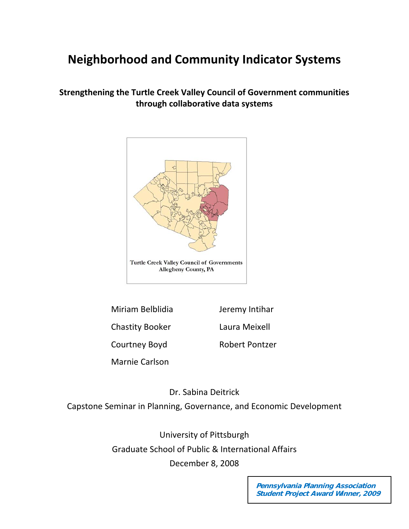# **Neighborhood and Community Indicator Systems**

# **Strengthening the Turtle Creek Valley Council of Government communities through collaborative data systems**



Miriam Belblidia Jeremy Intihar Chastity Booker Laura Meixell Courtney Boyd **Robert Pontzer** 

Marnie Carlson

Dr. Sabina Deitrick

Capstone Seminar in Planning, Governance, and Economic Development

University of Pittsburgh Graduate School of Public & International Affairs December 8, 2008

> **Pennsylvania Planning Association Student Project Award Winner, 2009**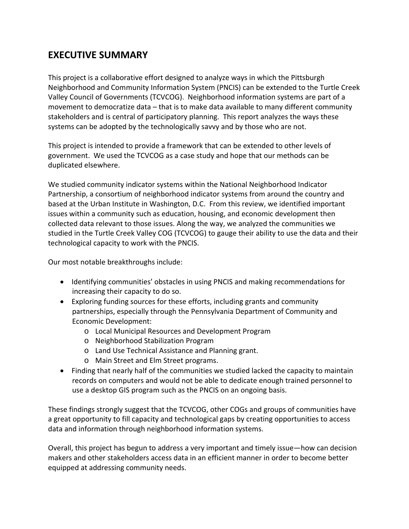# **EXECUTIVE SUMMARY**

This project is a collaborative effort designed to analyze ways in which the Pittsburgh Neighborhood and Community Information System (PNCIS) can be extended to the Turtle Creek Valley Council of Governments (TCVCOG). Neighborhood information systems are part of a movement to democratize data – that is to make data available to many different community stakeholders and is central of participatory planning. This report analyzes the ways these systems can be adopted by the technologically savvy and by those who are not.

This project is intended to provide a framework that can be extended to other levels of government. We used the TCVCOG as a case study and hope that our methods can be duplicated elsewhere.

We studied community indicator systems within the National Neighborhood Indicator Partnership, a consortium of neighborhood indicator systems from around the country and based at the Urban Institute in Washington, D.C. From this review, we identified important issues within a community such as education, housing, and economic development then collected data relevant to those issues. Along the way, we analyzed the communities we studied in the Turtle Creek Valley COG (TCVCOG) to gauge their ability to use the data and their technological capacity to work with the PNCIS.

Our most notable breakthroughs include:

- Identifying communities' obstacles in using PNCIS and making recommendations for increasing their capacity to do so.
- Exploring funding sources for these efforts, including grants and community partnerships, especially through the Pennsylvania Department of Community and Economic Development:
	- o Local Municipal Resources and Development Program
	- o Neighborhood Stabilization Program
	- o Land Use Technical Assistance and Planning grant.
	- o Main Street and Elm Street programs.
- Finding that nearly half of the communities we studied lacked the capacity to maintain records on computers and would not be able to dedicate enough trained personnel to use a desktop GIS program such as the PNCIS on an ongoing basis.

These findings strongly suggest that the TCVCOG, other COGs and groups of communities have a great opportunity to fill capacity and technological gaps by creating opportunities to access data and information through neighborhood information systems.

Overall, this project has begun to address a very important and timely issue—how can decision makers and other stakeholders access data in an efficient manner in order to become better equipped at addressing community needs.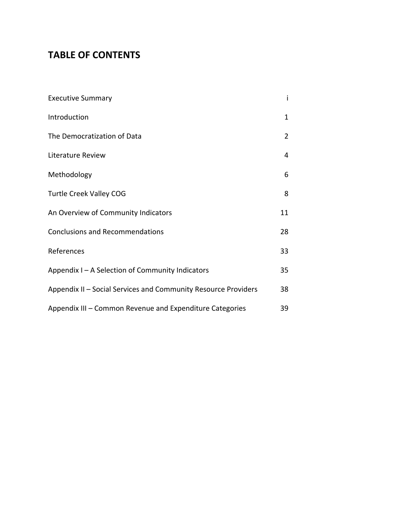# **TABLE OF CONTENTS**

| <b>Executive Summary</b>                                       | i              |  |
|----------------------------------------------------------------|----------------|--|
| Introduction                                                   | $\mathbf 1$    |  |
| The Democratization of Data                                    | $\overline{2}$ |  |
| Literature Review                                              | 4              |  |
| Methodology                                                    | 6              |  |
| <b>Turtle Creek Valley COG</b>                                 | 8              |  |
| An Overview of Community Indicators                            | 11             |  |
| <b>Conclusions and Recommendations</b>                         | 28             |  |
| References                                                     | 33             |  |
| Appendix I - A Selection of Community Indicators               | 35             |  |
| Appendix II - Social Services and Community Resource Providers | 38             |  |
| Appendix III - Common Revenue and Expenditure Categories       | 39             |  |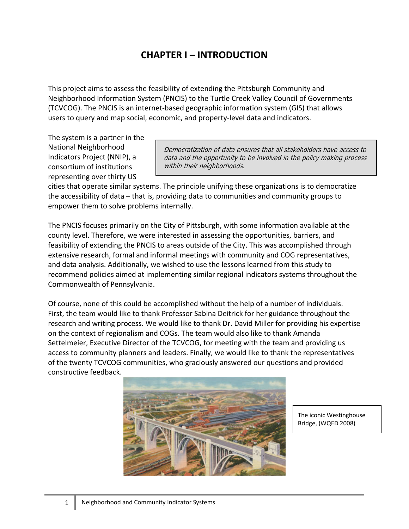# **CHAPTER I – INTRODUCTION**

This project aims to assess the feasibility of extending the Pittsburgh Community and Neighborhood Information System (PNCIS) to the Turtle Creek Valley Council of Governments (TCVCOG). The PNCIS is an internet‐based geographic information system (GIS) that allows users to query and map social, economic, and property‐level data and indicators.

The system is a partner in the National Neighborhood Indicators Project (NNIP), a consortium of institutions representing over thirty US

Democratization of data ensures that all stakeholders have access to data and the opportunity to be involved in the policy making process within their neighborhoods.

cities that operate similar systems. The principle unifying these organizations is to democratize the accessibility of data – that is, providing data to communities and community groups to empower them to solve problems internally.

The PNCIS focuses primarily on the City of Pittsburgh, with some information available at the county level. Therefore, we were interested in assessing the opportunities, barriers, and feasibility of extending the PNCIS to areas outside of the City. This was accomplished through extensive research, formal and informal meetings with community and COG representatives, and data analysis. Additionally, we wished to use the lessons learned from this study to recommend policies aimed at implementing similar regional indicators systems throughout the Commonwealth of Pennsylvania.

Of course, none of this could be accomplished without the help of a number of individuals. First, the team would like to thank Professor Sabina Deitrick for her guidance throughout the research and writing process. We would like to thank Dr. David Miller for providing his expertise on the context of regionalism and COGs. The team would also like to thank Amanda Settelmeier, Executive Director of the TCVCOG, for meeting with the team and providing us access to community planners and leaders. Finally, we would like to thank the representatives of the twenty TCVCOG communities, who graciously answered our questions and provided constructive feedback.



The iconic Westinghouse Bridge, (WQED 2008)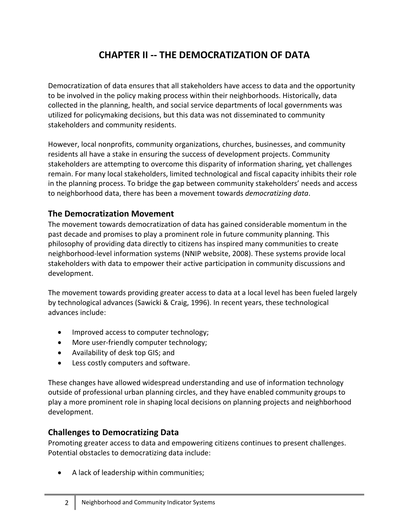# **CHAPTER II ‐‐ THE DEMOCRATIZATION OF DATA**

Democratization of data ensures that all stakeholders have access to data and the opportunity to be involved in the policy making process within their neighborhoods. Historically, data collected in the planning, health, and social service departments of local governments was utilized for policymaking decisions, but this data was not disseminated to community stakeholders and community residents.

However, local nonprofits, community organizations, churches, businesses, and community residents all have a stake in ensuring the success of development projects. Community stakeholders are attempting to overcome this disparity of information sharing, yet challenges remain. For many local stakeholders, limited technological and fiscal capacity inhibits their role in the planning process. To bridge the gap between community stakeholders' needs and access to neighborhood data, there has been a movement towards *democratizing data*.

# **The Democratization Movement**

The movement towards democratization of data has gained considerable momentum in the past decade and promises to play a prominent role in future community planning. This philosophy of providing data directly to citizens has inspired many communities to create neighborhood‐level information systems (NNIP website, 2008). These systems provide local stakeholders with data to empower their active participation in community discussions and development.

The movement towards providing greater access to data at a local level has been fueled largely by technological advances (Sawicki & Craig, 1996). In recent years, these technological advances include:

- Improved access to computer technology;
- More user-friendly computer technology;
- Availability of desk top GIS; and
- Less costly computers and software.

These changes have allowed widespread understanding and use of information technology outside of professional urban planning circles, and they have enabled community groups to play a more prominent role in shaping local decisions on planning projects and neighborhood development.

# **Challenges to Democratizing Data**

Promoting greater access to data and empowering citizens continues to present challenges. Potential obstacles to democratizing data include:

• A lack of leadership within communities;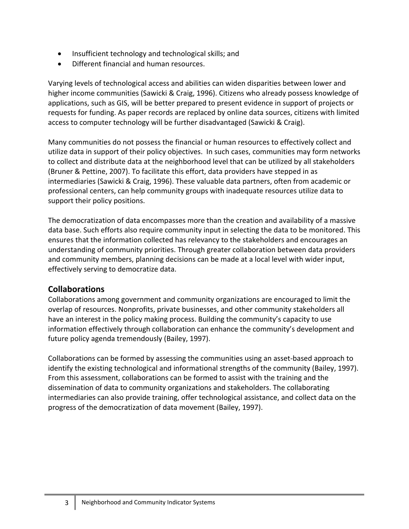- Insufficient technology and technological skills; and
- Different financial and human resources.

Varying levels of technological access and abilities can widen disparities between lower and higher income communities (Sawicki & Craig, 1996). Citizens who already possess knowledge of applications, such as GIS, will be better prepared to present evidence in support of projects or requests for funding. As paper records are replaced by online data sources, citizens with limited access to computer technology will be further disadvantaged (Sawicki & Craig).

Many communities do not possess the financial or human resources to effectively collect and utilize data in support of their policy objectives. In such cases, communities may form networks to collect and distribute data at the neighborhood level that can be utilized by all stakeholders (Bruner & Pettine, 2007). To facilitate this effort, data providers have stepped in as intermediaries (Sawicki & Craig, 1996). These valuable data partners, often from academic or professional centers, can help community groups with inadequate resources utilize data to support their policy positions.

The democratization of data encompasses more than the creation and availability of a massive data base. Such efforts also require community input in selecting the data to be monitored. This ensures that the information collected has relevancy to the stakeholders and encourages an understanding of community priorities. Through greater collaboration between data providers and community members, planning decisions can be made at a local level with wider input, effectively serving to democratize data.

# **Collaborations**

Collaborations among government and community organizations are encouraged to limit the overlap of resources. Nonprofits, private businesses, and other community stakeholders all have an interest in the policy making process. Building the community's capacity to use information effectively through collaboration can enhance the community's development and future policy agenda tremendously (Bailey, 1997).

Collaborations can be formed by assessing the communities using an asset‐based approach to identify the existing technological and informational strengths of the community (Bailey, 1997). From this assessment, collaborations can be formed to assist with the training and the dissemination of data to community organizations and stakeholders. The collaborating intermediaries can also provide training, offer technological assistance, and collect data on the progress of the democratization of data movement (Bailey, 1997).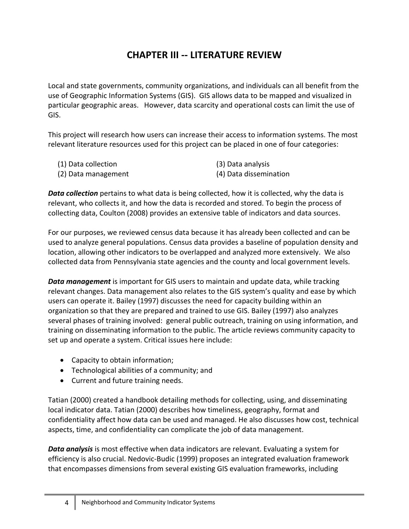# **CHAPTER III ‐‐ LITERATURE REVIEW**

Local and state governments, community organizations, and individuals can all benefit from the use of Geographic Information Systems (GIS). GIS allows data to be mapped and visualized in particular geographic areas. However, data scarcity and operational costs can limit the use of GIS.

This project will research how users can increase their access to information systems. The most relevant literature resources used for this project can be placed in one of four categories:

(1) Data collection (3) Data analysis (2) Data management (4) Data dissemination

*Data collection* pertains to what data is being collected, how it is collected, why the data is relevant, who collects it, and how the data is recorded and stored. To begin the process of collecting data, Coulton (2008) provides an extensive table of indicators and data sources.

For our purposes, we reviewed census data because it has already been collected and can be used to analyze general populations. Census data provides a baseline of population density and location, allowing other indicators to be overlapped and analyzed more extensively. We also collected data from Pennsylvania state agencies and the county and local government levels.

*Data management* is important for GIS users to maintain and update data, while tracking relevant changes. Data management also relates to the GIS system's quality and ease by which users can operate it. Bailey (1997) discusses the need for capacity building within an organization so that they are prepared and trained to use GIS. Bailey (1997) also analyzes several phases of training involved: general public outreach, training on using information, and training on disseminating information to the public. The article reviews community capacity to set up and operate a system. Critical issues here include:

- Capacity to obtain information;
- Technological abilities of a community; and
- Current and future training needs.

Tatian (2000) created a handbook detailing methods for collecting, using, and disseminating local indicator data. Tatian (2000) describes how timeliness, geography, format and confidentiality affect how data can be used and managed. He also discusses how cost, technical aspects, time, and confidentiality can complicate the job of data management.

*Data analysis* is most effective when data indicators are relevant. Evaluating a system for efficiency is also crucial. Nedovic‐Budic (1999) proposes an integrated evaluation framework that encompasses dimensions from several existing GIS evaluation frameworks, including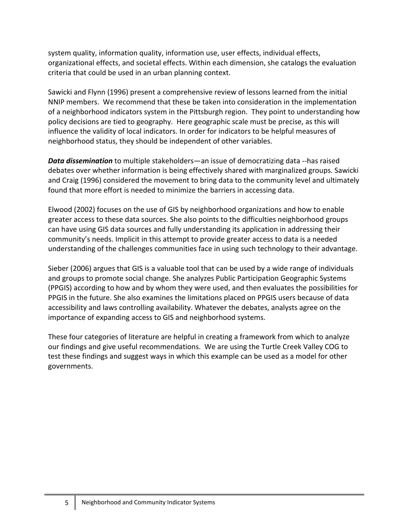system quality, information quality, information use, user effects, individual effects, organizational effects, and societal effects. Within each dimension, she catalogs the evaluation criteria that could be used in an urban planning context.

Sawicki and Flynn (1996) present a comprehensive review of lessons learned from the initial NNIP members. We recommend that these be taken into consideration in the implementation of a neighborhood indicators system in the Pittsburgh region. They point to understanding how policy decisions are tied to geography. Here geographic scale must be precise, as this will influence the validity of local indicators. In order for indicators to be helpful measures of neighborhood status, they should be independent of other variables.

*Data dissemination* to multiple stakeholders—an issue of democratizing data ‐‐has raised debates over whether information is being effectively shared with marginalized groups. Sawicki and Craig (1996) considered the movement to bring data to the community level and ultimately found that more effort is needed to minimize the barriers in accessing data.

Elwood (2002) focuses on the use of GIS by neighborhood organizations and how to enable greater access to these data sources. She also points to the difficulties neighborhood groups can have using GIS data sources and fully understanding its application in addressing their community's needs. Implicit in this attempt to provide greater access to data is a needed understanding of the challenges communities face in using such technology to their advantage.

Sieber (2006) argues that GIS is a valuable tool that can be used by a wide range of individuals and groups to promote social change. She analyzes Public Participation Geographic Systems (PPGIS) according to how and by whom they were used, and then evaluates the possibilities for PPGIS in the future. She also examines the limitations placed on PPGIS users because of data accessibility and laws controlling availability. Whatever the debates, analysts agree on the importance of expanding access to GIS and neighborhood systems.

These four categories of literature are helpful in creating a framework from which to analyze our findings and give useful recommendations. We are using the Turtle Creek Valley COG to test these findings and suggest ways in which this example can be used as a model for other governments.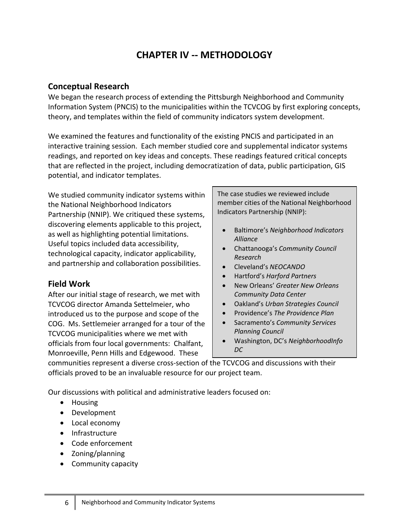# **CHAPTER IV ‐‐ METHODOLOGY**

## **Conceptual Research**

We began the research process of extending the Pittsburgh Neighborhood and Community Information System (PNCIS) to the municipalities within the TCVCOG by first exploring concepts, theory, and templates within the field of community indicators system development.

We examined the features and functionality of the existing PNCIS and participated in an interactive training session. Each member studied core and supplemental indicator systems readings, and reported on key ideas and concepts. These readings featured critical concepts that are reflected in the project, including democratization of data, public participation, GIS potential, and indicator templates.

We studied community indicator systems within the National Neighborhood Indicators Partnership (NNIP). We critiqued these systems, discovering elements applicable to this project, as well as highlighting potential limitations. Useful topics included data accessibility, technological capacity, indicator applicability, and partnership and collaboration possibilities.

# **Field Work**

After our initial stage of research, we met with TCVCOG director Amanda Settelmeier, who introduced us to the purpose and scope of the COG. Ms. Settlemeier arranged for a tour of the TCVCOG municipalities where we met with officials from four local governments: Chalfant, Monroeville, Penn Hills and Edgewood. These

The case studies we reviewed include member cities of the National Neighborhood Indicators Partnership (NNIP):

- Baltimore's *Neighborhood Indicators Alliance*
- Chattanooga's *Community Council Research*
- Cleveland's *NEOCANDO*
- Hartford's *Harford Partners*
- New Orleans' *Greater New Orleans Community Data Center*
- Oakland's *Urban Strategies Council*
- Providence's *The Providence Plan*
- Sacramento's *Community Services Planning Council*
- Washington, DC's *NeighborhoodInfo DC*

communities represent a diverse cross‐section of the TCVCOG and discussions with their officials proved to be an invaluable resource for our project team.

Our discussions with political and administrative leaders focused on:

- Housing
- Development
- Local economy
- Infrastructure
- Code enforcement
- Zoning/planning
- Community capacity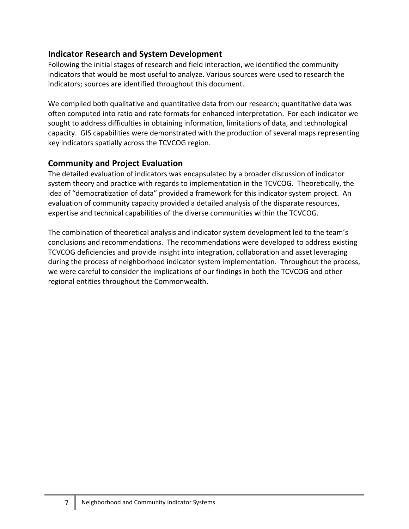# **Indicator Research and System Development**

Following the initial stages of research and field interaction, we identified the community indicators that would be most useful to analyze. Various sources were used to research the indicators; sources are identified throughout this document.

We compiled both qualitative and quantitative data from our research; quantitative data was often computed into ratio and rate formats for enhanced interpretation. For each indicator we sought to address difficulties in obtaining information, limitations of data, and technological capacity. GIS capabilities were demonstrated with the production of several maps representing key indicators spatially across the TCVCOG region.

# **Community and Project Evaluation**

The detailed evaluation of indicators was encapsulated by a broader discussion of indicator system theory and practice with regards to implementation in the TCVCOG. Theoretically, the idea of "democratization of data" provided a framework for this indicator system project. An evaluation of community capacity provided a detailed analysis of the disparate resources, expertise and technical capabilities of the diverse communities within the TCVCOG.

The combination of theoretical analysis and indicator system development led to the team's conclusions and recommendations. The recommendations were developed to address existing TCVCOG deficiencies and provide insight into integration, collaboration and asset leveraging during the process of neighborhood indicator system implementation. Throughout the process, we were careful to consider the implications of our findings in both the TCVCOG and other regional entities throughout the Commonwealth.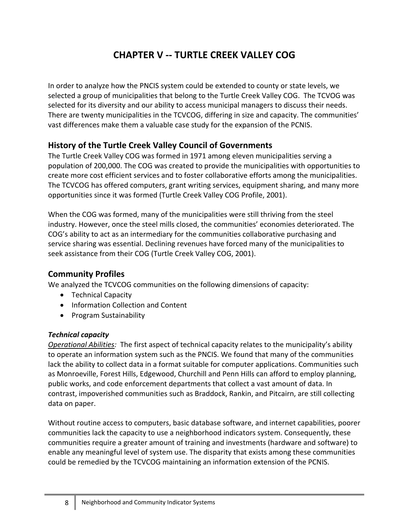# **CHAPTER V ‐‐ TURTLE CREEK VALLEY COG**

In order to analyze how the PNCIS system could be extended to county or state levels, we selected a group of municipalities that belong to the Turtle Creek Valley COG. The TCVOG was selected for its diversity and our ability to access municipal managers to discuss their needs. There are twenty municipalities in the TCVCOG, differing in size and capacity. The communities' vast differences make them a valuable case study for the expansion of the PCNIS.

# **History of the Turtle Creek Valley Council of Governments**

The Turtle Creek Valley COG was formed in 1971 among eleven municipalities serving a population of 200,000. The COG was created to provide the municipalities with opportunities to create more cost efficient services and to foster collaborative efforts among the municipalities. The TCVCOG has offered computers, grant writing services, equipment sharing, and many more opportunities since it was formed (Turtle Creek Valley COG Profile, 2001).

When the COG was formed, many of the municipalities were still thriving from the steel industry. However, once the steel mills closed, the communities' economies deteriorated. The COG's ability to act as an intermediary for the communities collaborative purchasing and service sharing was essential. Declining revenues have forced many of the municipalities to seek assistance from their COG (Turtle Creek Valley COG, 2001).

# **Community Profiles**

We analyzed the TCVCOG communities on the following dimensions of capacity:

- Technical Capacity
- Information Collection and Content
- Program Sustainability

### *Technical capacity*

*Operational Abilities:* The first aspect of technical capacity relates to the municipality's ability to operate an information system such as the PNCIS. We found that many of the communities lack the ability to collect data in a format suitable for computer applications. Communities such as Monroeville, Forest Hills, Edgewood, Churchill and Penn Hills can afford to employ planning, public works, and code enforcement departments that collect a vast amount of data. In contrast, impoverished communities such as Braddock, Rankin, and Pitcairn, are still collecting data on paper.

Without routine access to computers, basic database software, and internet capabilities, poorer communities lack the capacity to use a neighborhood indicators system. Consequently, these communities require a greater amount of training and investments (hardware and software) to enable any meaningful level of system use. The disparity that exists among these communities could be remedied by the TCVCOG maintaining an information extension of the PCNIS.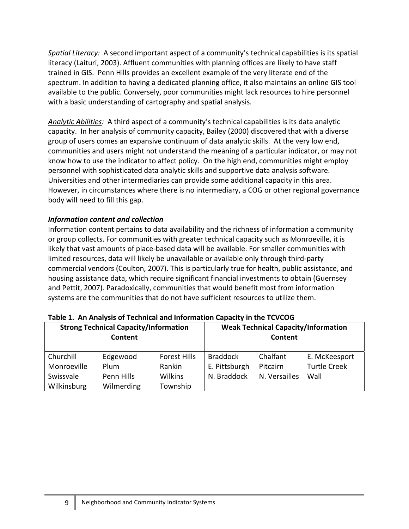*Spatial Literacy:* A second important aspect of a community's technical capabilities is its spatial literacy (Laituri, 2003). Affluent communities with planning offices are likely to have staff trained in GIS. Penn Hills provides an excellent example of the very literate end of the spectrum. In addition to having a dedicated planning office, it also maintains an online GIS tool available to the public. Conversely, poor communities might lack resources to hire personnel with a basic understanding of cartography and spatial analysis.

*Analytic Abilities:* A third aspect of a community's technical capabilities is its data analytic capacity. In her analysis of community capacity, Bailey (2000) discovered that with a diverse group of users comes an expansive continuum of data analytic skills. At the very low end, communities and users might not understand the meaning of a particular indicator, or may not know how to use the indicator to affect policy. On the high end, communities might employ personnel with sophisticated data analytic skills and supportive data analysis software. Universities and other intermediaries can provide some additional capacity in this area. However, in circumstances where there is no intermediary, a COG or other regional governance body will need to fill this gap.

### *Information content and collection*

Information content pertains to data availability and the richness of information a community or group collects. For communities with greater technical capacity such as Monroeville, it is likely that vast amounts of place‐based data will be available. For smaller communities with limited resources, data will likely be unavailable or available only through third‐party commercial vendors (Coulton, 2007). This is particularly true for health, public assistance, and housing assistance data, which require significant financial investments to obtain (Guernsey and Pettit, 2007). Paradoxically, communities that would benefit most from information systems are the communities that do not have sufficient resources to utilize them.

| <b>Strong Technical Capacity/Information</b><br>Content |            |                     |                 | <b>Weak Technical Capacity/Information</b><br>Content |                     |
|---------------------------------------------------------|------------|---------------------|-----------------|-------------------------------------------------------|---------------------|
| Churchill                                               | Edgewood   | <b>Forest Hills</b> | <b>Braddock</b> | Chalfant                                              | E. McKeesport       |
| Monroeville                                             | Plum       | Rankin              | E. Pittsburgh   | Pitcairn                                              | <b>Turtle Creek</b> |
| Swissvale                                               | Penn Hills | <b>Wilkins</b>      | N. Braddock     | N. Versailles                                         | Wall                |
| Wilkinsburg                                             | Wilmerding | Township            |                 |                                                       |                     |

| Table 1. An Analysis of Technical and Information Capacity in the TCVCOG |  |
|--------------------------------------------------------------------------|--|
|--------------------------------------------------------------------------|--|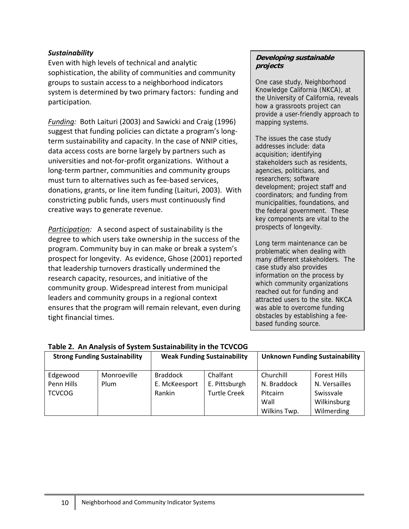#### *Sustainability*

Even with high levels of technical and analytic sophistication, the ability of communities and community groups to sustain access to a neighborhood indicators system is determined by two primary factors: funding and participation.

*Funding:* Both Laituri (2003) and Sawicki and Craig (1996) suggest that funding policies can dictate a program's long‐ term sustainability and capacity. In the case of NNIP cities, data access costs are borne largely by partners such as universities and not‐for‐profit organizations. Without a long‐term partner, communities and community groups must turn to alternatives such as fee‐based services, donations, grants, or line item funding (Laituri, 2003). With constricting public funds, users must continuously find creative ways to generate revenue.

*Participation:* A second aspect of sustainability is the degree to which users take ownership in the success of the program. Community buy in can make or break a system's prospect for longevity. As evidence, Ghose (2001) reported that leadership turnovers drastically undermined the research capacity, resources, and initiative of the community group. Widespread interest from municipal leaders and community groups in a regional context ensures that the program will remain relevant, even during tight financial times.

#### **Developing sustainable projects**

One case study, Neighborhood Knowledge California (NKCA), at the University of California, reveals how a grassroots project can provide a user-friendly approach to mapping systems.

The issues the case study addresses include: data acquisition; identifying stakeholders such as residents, agencies, politicians, and researchers; software development; project staff and coordinators; and funding from municipalities, foundations, and the federal government. These key components are vital to the prospects of longevity.

Long term maintenance can be problematic when dealing with many different stakeholders. The case study also provides information on the process by which community organizations reached out for funding and attracted users to the site. NKCA was able to overcome funding obstacles by establishing a feebased funding source.

#### **Table 2. An Analysis of System Sustainability in the TCVCOG**

| <b>Strong Funding Sustainability</b>    |                     |                                            | <b>Weak Funding Sustainability</b>               |                                                              | <b>Unknown Funding Sustainability</b>                                          |
|-----------------------------------------|---------------------|--------------------------------------------|--------------------------------------------------|--------------------------------------------------------------|--------------------------------------------------------------------------------|
| Edgewood<br>Penn Hills<br><b>TCVCOG</b> | Monroeville<br>Plum | <b>Braddock</b><br>E. McKeesport<br>Rankin | Chalfant<br>E. Pittsburgh<br><b>Turtle Creek</b> | Churchill<br>N. Braddock<br>Pitcairn<br>Wall<br>Wilkins Twp. | <b>Forest Hills</b><br>N. Versailles<br>Swissvale<br>Wilkinsburg<br>Wilmerding |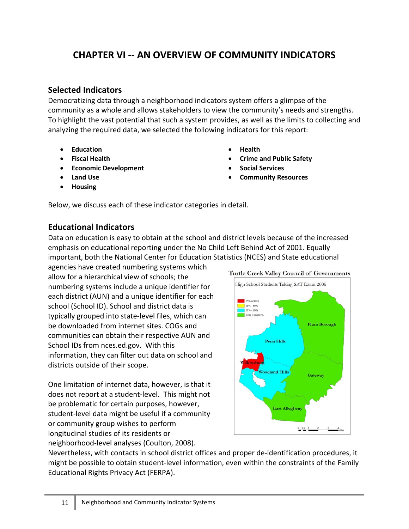# **CHAPTER VI ‐‐ AN OVERVIEW OF COMMUNITY INDICATORS**

# **Selected Indicators**

Democratizing data through a neighborhood indicators system offers a glimpse of the community as a whole and allows stakeholders to view the community's needs and strengths. To highlight the vast potential that such a system provides, as well as the limits to collecting and analyzing the required data, we selected the following indicators for this report:

- **Education**
- **Fiscal Health**
- **Economic Development**
- **Land Use**
- **Housing**
- **Health**
- **Crime and Public Safety**
- **Social Services**
- **Community Resources**

Below, we discuss each of these indicator categories in detail.

# **Educational Indicators**

Data on education is easy to obtain at the school and district levels because of the increased emphasis on educational reporting under the No Child Left Behind Act of 2001. Equally important, both the National Center for Education Statistics (NCES) and State educational

agencies have created numbering systems which allow for a hierarchical view of schools; the numbering systems include a unique identifier for each district (AUN) and a unique identifier for each school (School ID). School and district data is typically grouped into state‐level files, which can be downloaded from internet sites. COGs and communities can obtain their respective AUN and School IDs from nces.ed.gov. With this information, they can filter out data on school and districts outside of their scope.

One limitation of internet data, however, is that it does not report at a student‐level. This might not be problematic for certain purposes, however, student‐level data might be useful if a community or community group wishes to perform longitudinal studies of its residents or neighborhood‐level analyses (Coulton, 2008).



Nevertheless, with contacts in school district offices and proper de‐identification procedures, it might be possible to obtain student‐level information, even within the constraints of the Family Educational Rights Privacy Act (FERPA).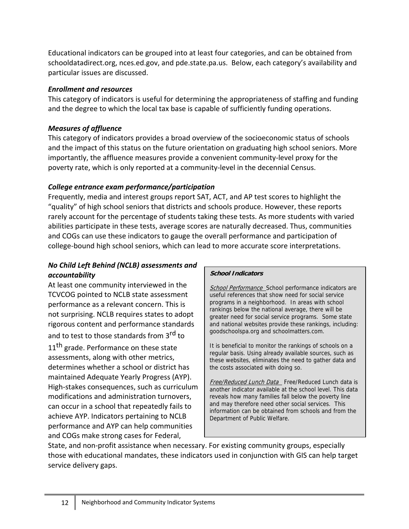Educational indicators can be grouped into at least four categories, and can be obtained from schooldatadirect.org, nces.ed.gov, and pde.state.pa.us. Below, each category's availability and particular issues are discussed.

#### *Enrollment and resources*

This category of indicators is useful for determining the appropriateness of staffing and funding and the degree to which the local tax base is capable of sufficiently funding operations.

### *Measures of affluence*

This category of indicators provides a broad overview of the socioeconomic status of schools and the impact of this status on the future orientation on graduating high school seniors. More importantly, the affluence measures provide a convenient community‐level proxy for the poverty rate, which is only reported at a community‐level in the decennial Census.

# *College entrance exam performance/participation*

Frequently, media and interest groups report SAT, ACT, and AP test scores to highlight the "quality" of high school seniors that districts and schools produce. However, these reports rarely account for the percentage of students taking these tests. As more students with varied abilities participate in these tests, average scores are naturally decreased. Thus, communities and COGs can use these indicators to gauge the overall performance and participation of college‐bound high school seniors, which can lead to more accurate score interpretations.

### *No Child Left Behind (NCLB) assessments and accountability*

At least one community interviewed in the TCVCOG pointed to NCLB state assessment performance as a relevant concern. This is not surprising. NCLB requires states to adopt rigorous content and performance standards and to test to those standards from 3<sup>rd</sup> to 11<sup>th</sup> grade. Performance on these state assessments, along with other metrics, determines whether a school or district has maintained Adequate Yearly Progress (AYP). High‐stakes consequences, such as curriculum modifications and administration turnovers, can occur in a school that repeatedly fails to achieve AYP. Indicators pertaining to NCLB performance and AYP can help communities and COGs make strong cases for Federal,

#### **School Indicators**

School Performance School performance indicators are useful references that show need for social service programs in a neighborhood. In areas with school rankings below the national average, there will be greater need for social service programs. Some state and national websites provide these rankings, including: goodschoolspa.org and schoolmatters.com.

It is beneficial to monitor the rankings of schools on a regular basis. Using already available sources, such as these websites, eliminates the need to gather data and the costs associated with doing so.

Free/Reduced Lunch Data Free/Reduced Lunch data is another indicator available at the school level. This data reveals how many families fall below the poverty line and may therefore need other social services. This information can be obtained from schools and from the Department of Public Welfare.

State, and non-profit assistance when necessary. For existing community groups, especially those with educational mandates, these indicators used in conjunction with GIS can help target service delivery gaps.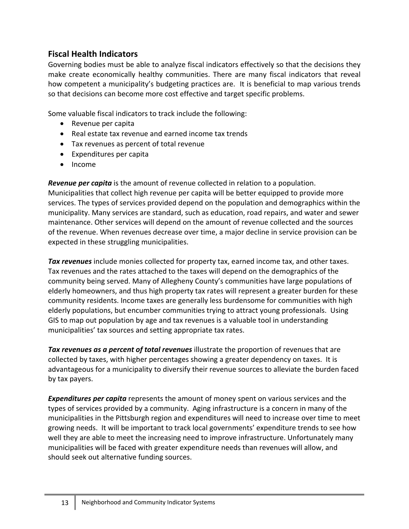# **Fiscal Health Indicators**

Governing bodies must be able to analyze fiscal indicators effectively so that the decisions they make create economically healthy communities. There are many fiscal indicators that reveal how competent a municipality's budgeting practices are. It is beneficial to map various trends so that decisions can become more cost effective and target specific problems.

Some valuable fiscal indicators to track include the following:

- Revenue per capita
- Real estate tax revenue and earned income tax trends
- Tax revenues as percent of total revenue
- Expenditures per capita
- Income

*Revenue per capita* is the amount of revenue collected in relation to a population. Municipalities that collect high revenue per capita will be better equipped to provide more services. The types of services provided depend on the population and demographics within the municipality. Many services are standard, such as education, road repairs, and water and sewer maintenance. Other services will depend on the amount of revenue collected and the sources of the revenue. When revenues decrease over time, a major decline in service provision can be expected in these struggling municipalities.

*Tax revenues* include monies collected for property tax, earned income tax, and other taxes. Tax revenues and the rates attached to the taxes will depend on the demographics of the community being served. Many of Allegheny County's communities have large populations of elderly homeowners, and thus high property tax rates will represent a greater burden for these community residents. Income taxes are generally less burdensome for communities with high elderly populations, but encumber communities trying to attract young professionals. Using GIS to map out population by age and tax revenues is a valuable tool in understanding municipalities' tax sources and setting appropriate tax rates.

*Tax revenues as a percent of total revenues* illustrate the proportion of revenues that are collected by taxes, with higher percentages showing a greater dependency on taxes. It is advantageous for a municipality to diversify their revenue sources to alleviate the burden faced by tax payers.

*Expenditures per capita* represents the amount of money spent on various services and the types of services provided by a community. Aging infrastructure is a concern in many of the municipalities in the Pittsburgh region and expenditures will need to increase over time to meet growing needs. It will be important to track local governments' expenditure trends to see how well they are able to meet the increasing need to improve infrastructure. Unfortunately many municipalities will be faced with greater expenditure needs than revenues will allow, and should seek out alternative funding sources.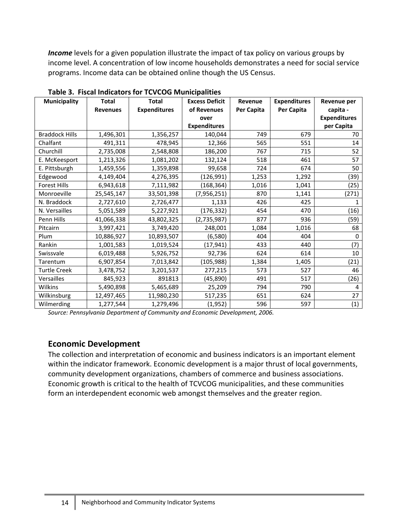*Income* levels for a given population illustrate the impact of tax policy on various groups by income level. A concentration of low income households demonstrates a need for social service programs. Income data can be obtained online though the US Census.

| <b>Municipality</b>   | <b>Total</b>    | <b>Total</b>        | <b>Excess Deficit</b> | Revenue           | <b>Expenditures</b> | Revenue per         |
|-----------------------|-----------------|---------------------|-----------------------|-------------------|---------------------|---------------------|
|                       | <b>Revenues</b> | <b>Expenditures</b> | of Revenues           | <b>Per Capita</b> | Per Capita          | capita -            |
|                       |                 |                     | over                  |                   |                     | <b>Expenditures</b> |
|                       |                 |                     | <b>Expenditures</b>   |                   |                     | per Capita          |
| <b>Braddock Hills</b> | 1,496,301       | 1,356,257           | 140,044               | 749               | 679                 | 70                  |
| Chalfant              | 491,311         | 478,945             | 12,366                | 565               | 551                 | 14                  |
| Churchill             | 2,735,008       | 2,548,808           | 186,200               | 767               | 715                 | 52                  |
| E. McKeesport         | 1,213,326       | 1,081,202           | 132,124               | 518               | 461                 | 57                  |
| E. Pittsburgh         | 1,459,556       | 1,359,898           | 99,658                | 724               | 674                 | 50                  |
| Edgewood              | 4,149,404       | 4,276,395           | (126, 991)            | 1,253             | 1,292               | (39)                |
| <b>Forest Hills</b>   | 6,943,618       | 7,111,982           | (168, 364)            | 1,016             | 1,041               | (25)                |
| Monroeville           | 25,545,147      | 33,501,398          | (7,956,251)           | 870               | 1,141               | (271)               |
| N. Braddock           | 2,727,610       | 2,726,477           | 1,133                 | 426               | 425                 | 1                   |
| N. Versailles         | 5,051,589       | 5,227,921           | (176, 332)            | 454               | 470                 | (16)                |
| Penn Hills            | 41,066,338      | 43,802,325          | (2,735,987)           | 877               | 936                 | (59)                |
| Pitcairn              | 3,997,421       | 3,749,420           | 248,001               | 1,084             | 1,016               | 68                  |
| Plum                  | 10,886,927      | 10,893,507          | (6, 580)              | 404               | 404                 | 0                   |
| Rankin                | 1,001,583       | 1,019,524           | (17, 941)             | 433               | 440                 | (7)                 |
| Swissvale             | 6,019,488       | 5,926,752           | 92,736                | 624               | 614                 | 10                  |
| Tarentum              | 6,907,854       | 7,013,842           | (105, 988)            | 1,384             | 1,405               | (21)                |
| <b>Turtle Creek</b>   | 3,478,752       | 3,201,537           | 277,215               | 573               | 527                 | 46                  |
| Versailles            | 845,923         | 891813              | (45, 890)             | 491               | 517                 | (26)                |
| Wilkins               | 5,490,898       | 5,465,689           | 25,209                | 794               | 790                 | 4                   |
| Wilkinsburg           | 12,497,465      | 11,980,230          | 517,235               | 651               | 624                 | 27                  |
| Wilmerding            | 1,277,544       | 1,279,496           | (1,952)               | 596               | 597                 | (1)                 |

**Table 3. Fiscal Indicators for TCVCOG Municipalities** 

*Source: Pennsylvania Department of Community and Economic Development, 2006.*

### **Economic Development**

The collection and interpretation of economic and business indicators is an important element within the indicator framework. Economic development is a major thrust of local governments, community development organizations, chambers of commerce and business associations. Economic growth is critical to the health of TCVCOG municipalities, and these communities form an interdependent economic web amongst themselves and the greater region.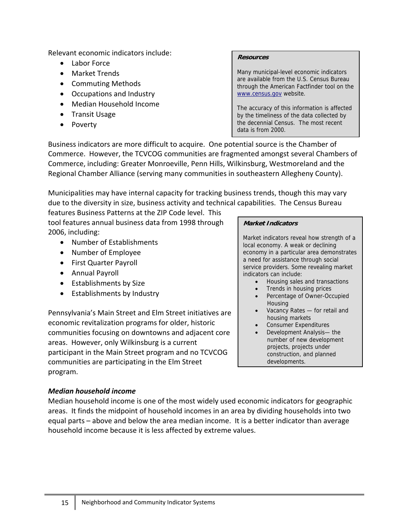Relevant economic indicators include:

- Labor Force
- Market Trends
- Commuting Methods
- Occupations and Industry
- Median Household Income
- Transit Usage
- Poverty

#### **Resources**

Many municipal-level economic indicators are available from the U.S. Census Bureau through the American Factfinder tool on the www.census.gov website.

The accuracy of this information is affected by the timeliness of the data collected by the decennial Census. The most recent data is from 2000.

Business indicators are more difficult to acquire. One potential source is the Chamber of Commerce. However, the TCVCOG communities are fragmented amongst several Chambers of Commerce, including: Greater Monroeville, Penn Hills, Wilkinsburg, Westmoreland and the Regional Chamber Alliance (serving many communities in southeastern Allegheny County).

Municipalities may have internal capacity for tracking business trends, though this may vary due to the diversity in size, business activity and technical capabilities. The Census Bureau

features Business Patterns at the ZIP Code level. This tool features annual business data from 1998 through 2006, including:

- Number of Establishments
- Number of Employee
- First Quarter Payroll
- Annual Payroll
- Establishments by Size
- Establishments by Industry

Pennsylvania's Main Street and Elm Street initiatives are economic revitalization programs for older, historic communities focusing on downtowns and adjacent core areas. However, only Wilkinsburg is a current participant in the Main Street program and no TCVCOG communities are participating in the Elm Street program.

#### **Market Indicators**

Market indicators reveal how strength of a local economy. A weak or declining economy in a particular area demonstrates a need for assistance through social service providers. Some revealing market indicators can include:

- Housing sales and transactions
- Trends in housing prices
- Percentage of Owner-Occupied **Housing**
- Vacancy Rates for retail and housing markets
- Consumer Expenditures
- Development Analysis— the number of new development projects, projects under construction, and planned developments.

### *Median household income*

Median household income is one of the most widely used economic indicators for geographic areas. It finds the midpoint of household incomes in an area by dividing households into two equal parts – above and below the area median income. It is a better indicator than average household income because it is less affected by extreme values.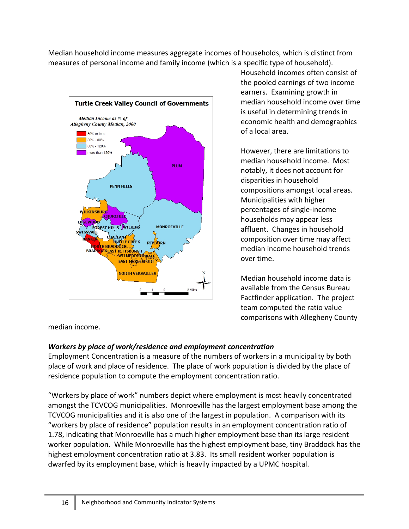Median household income measures aggregate incomes of households, which is distinct from measures of personal income and family income (which is a specific type of household).



Household incomes often consist of the pooled earnings of two income earners. Examining growth in median household income over time is useful in determining trends in economic health and demographics of a local area.

However, there are limitations to median household income. Most notably, it does not account for disparities in household compositions amongst local areas. Municipalities with higher percentages of single‐income households may appear less affluent. Changes in household composition over time may affect median income household trends over time.

Median household income data is available from the Census Bureau Factfinder application. The project team computed the ratio value comparisons with Allegheny County

median income.

# *Workers by place of work/residence and employment concentration*

Employment Concentration is a measure of the numbers of workers in a municipality by both place of work and place of residence. The place of work population is divided by the place of residence population to compute the employment concentration ratio.

"Workers by place of work" numbers depict where employment is most heavily concentrated amongst the TCVCOG municipalities. Monroeville has the largest employment base among the TCVCOG municipalities and it is also one of the largest in population. A comparison with its "workers by place of residence" population results in an employment concentration ratio of 1.78, indicating that Monroeville has a much higher employment base than its large resident worker population. While Monroeville has the highest employment base, tiny Braddock has the highest employment concentration ratio at 3.83. Its small resident worker population is dwarfed by its employment base, which is heavily impacted by a UPMC hospital.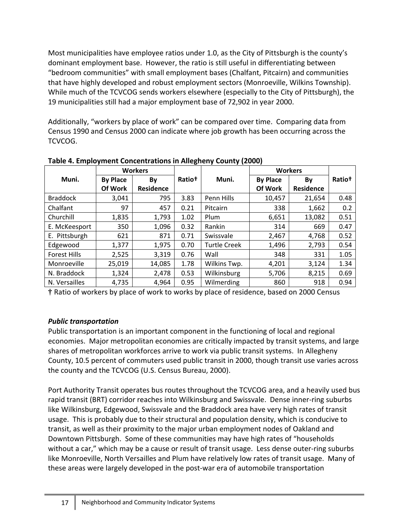Most municipalities have employee ratios under 1.0, as the City of Pittsburgh is the county's dominant employment base. However, the ratio is still useful in differentiating between "bedroom communities" with small employment bases (Chalfant, Pitcairn) and communities that have highly developed and robust employment sectors (Monroeville, Wilkins Township). While much of the TCVCOG sends workers elsewhere (especially to the City of Pittsburgh), the 19 municipalities still had a major employment base of 72,902 in year 2000.

Additionally, "workers by place of work" can be compared over time. Comparing data from Census 1990 and Census 2000 can indicate where job growth has been occurring across the TCVCOG.

| <b>Workers</b>      |                 |                  | <b>Workers</b>     |              |                 |                  |                    |
|---------------------|-----------------|------------------|--------------------|--------------|-----------------|------------------|--------------------|
| Muni.               | <b>By Place</b> | By               | Ratio <sup>†</sup> | Muni.        | <b>By Place</b> | By               | Ratio <sup>†</sup> |
|                     | Of Work         | <b>Residence</b> |                    |              | Of Work         | <b>Residence</b> |                    |
| <b>Braddock</b>     | 3,041           | 795              | 3.83               | Penn Hills   | 10,457          | 21,654           | 0.48               |
| Chalfant            | 97              | 457              | 0.21               | Pitcairn     | 338             | 1,662            | 0.2                |
| Churchill           | 1,835           | 1,793            | 1.02               | Plum         | 6,651           | 13,082           | 0.51               |
| E. McKeesport       | 350             | 1,096            | 0.32               | Rankin       | 314             | 669              | 0.47               |
| E. Pittsburgh       | 621             | 871              | 0.71               | Swissvale    | 2,467           | 4,768            | 0.52               |
| Edgewood            | 1,377           | 1,975            | 0.70               | Turtle Creek | 1,496           | 2,793            | 0.54               |
| <b>Forest Hills</b> | 2,525           | 3,319            | 0.76               | Wall         | 348             | 331              | 1.05               |
| Monroeville         | 25,019          | 14,085           | 1.78               | Wilkins Twp. | 4,201           | 3,124            | 1.34               |
| N. Braddock         | 1,324           | 2,478            | 0.53               | Wilkinsburg  | 5,706           | 8,215            | 0.69               |
| N. Versailles       | 4,735           | 4,964            | 0.95               | Wilmerding   | 860             | 918              | 0.94               |

**Table 4. Employment Concentrations in Allegheny County (2000)**

**†** Ratio of workers by place of work to works by place of residence, based on 2000 Census

### *Public transportation*

Public transportation is an important component in the functioning of local and regional economies. Major metropolitan economies are critically impacted by transit systems, and large shares of metropolitan workforces arrive to work via public transit systems. In Allegheny County, 10.5 percent of commuters used public transit in 2000, though transit use varies across the county and the TCVCOG (U.S. Census Bureau, 2000).

Port Authority Transit operates bus routes throughout the TCVCOG area, and a heavily used bus rapid transit (BRT) corridor reaches into Wilkinsburg and Swissvale. Dense inner‐ring suburbs like Wilkinsburg, Edgewood, Swissvale and the Braddock area have very high rates of transit usage. This is probably due to their structural and population density, which is conducive to transit, as well as their proximity to the major urban employment nodes of Oakland and Downtown Pittsburgh. Some of these communities may have high rates of "households without a car," which may be a cause or result of transit usage. Less dense outer-ring suburbs like Monroeville, North Versailles and Plum have relatively low rates of transit usage. Many of these areas were largely developed in the post‐war era of automobile transportation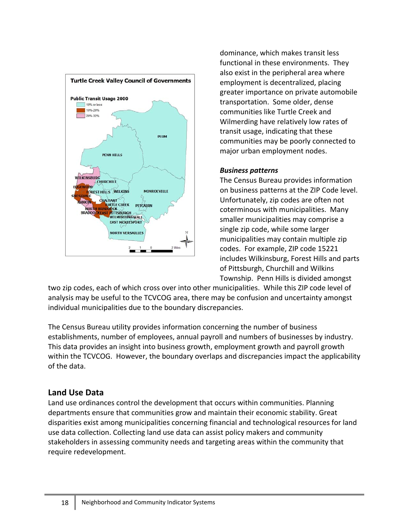

dominance, which makes transit less functional in these environments. They also exist in the peripheral area where employment is decentralized, placing greater importance on private automobile transportation. Some older, dense communities like Turtle Creek and Wilmerding have relatively low rates of transit usage, indicating that these communities may be poorly connected to major urban employment nodes.

#### *Business patterns*

The Census Bureau provides information on business patterns at the ZIP Code level. Unfortunately, zip codes are often not coterminous with municipalities. Many smaller municipalities may comprise a single zip code, while some larger municipalities may contain multiple zip codes. For example, ZIP code 15221 includes Wilkinsburg, Forest Hills and parts of Pittsburgh, Churchill and Wilkins Township. Penn Hills is divided amongst

two zip codes, each of which cross over into other municipalities. While this ZIP code level of analysis may be useful to the TCVCOG area, there may be confusion and uncertainty amongst individual municipalities due to the boundary discrepancies.

The Census Bureau utility provides information concerning the number of business establishments, number of employees, annual payroll and numbers of businesses by industry. This data provides an insight into business growth, employment growth and payroll growth within the TCVCOG. However, the boundary overlaps and discrepancies impact the applicability of the data.

# **Land Use Data**

Land use ordinances control the development that occurs within communities. Planning departments ensure that communities grow and maintain their economic stability. Great disparities exist among municipalities concerning financial and technological resources for land use data collection. Collecting land use data can assist policy makers and community stakeholders in assessing community needs and targeting areas within the community that require redevelopment.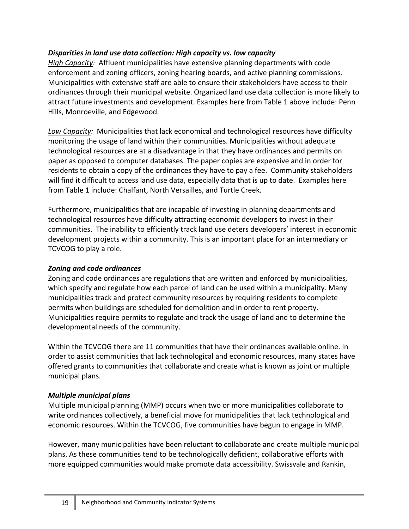### *Disparities in land use data collection: High capacity vs. low capacity*

*High Capacity:* Affluent municipalities have extensive planning departments with code enforcement and zoning officers, zoning hearing boards, and active planning commissions. Municipalities with extensive staff are able to ensure their stakeholders have access to their ordinances through their municipal website. Organized land use data collection is more likely to attract future investments and development. Examples here from Table 1 above include: Penn Hills, Monroeville, and Edgewood.

Low Capacity: Municipalities that lack economical and technological resources have difficulty monitoring the usage of land within their communities. Municipalities without adequate technological resources are at a disadvantage in that they have ordinances and permits on paper as opposed to computer databases. The paper copies are expensive and in order for residents to obtain a copy of the ordinances they have to pay a fee. Community stakeholders will find it difficult to access land use data, especially data that is up to date. Examples here from Table 1 include: Chalfant, North Versailles, and Turtle Creek.

Furthermore, municipalities that are incapable of investing in planning departments and technological resources have difficulty attracting economic developers to invest in their communities. The inability to efficiently track land use deters developers' interest in economic development projects within a community. This is an important place for an intermediary or TCVCOG to play a role.

### *Zoning and code ordinances*

Zoning and code ordinances are regulations that are written and enforced by municipalities, which specify and regulate how each parcel of land can be used within a municipality. Many municipalities track and protect community resources by requiring residents to complete permits when buildings are scheduled for demolition and in order to rent property. Municipalities require permits to regulate and track the usage of land and to determine the developmental needs of the community.

Within the TCVCOG there are 11 communities that have their ordinances available online. In order to assist communities that lack technological and economic resources, many states have offered grants to communities that collaborate and create what is known as joint or multiple municipal plans.

### *Multiple municipal plans*

Multiple municipal planning (MMP) occurs when two or more municipalities collaborate to write ordinances collectively, a beneficial move for municipalities that lack technological and economic resources. Within the TCVCOG, five communities have begun to engage in MMP.

However, many municipalities have been reluctant to collaborate and create multiple municipal plans. As these communities tend to be technologically deficient, collaborative efforts with more equipped communities would make promote data accessibility. Swissvale and Rankin,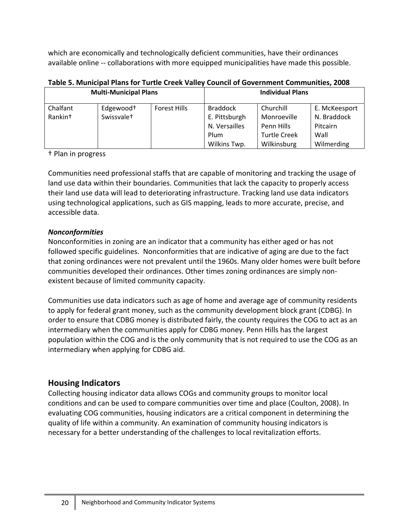which are economically and technologically deficient communities, have their ordinances available online ‐‐ collaborations with more equipped municipalities have made this possible.

|                              |                        | Table 5. Manicipal Flans for Turne Creek Valley Council of Government Communities, 2000 |                 |                         |               |
|------------------------------|------------------------|-----------------------------------------------------------------------------------------|-----------------|-------------------------|---------------|
| <b>Multi-Municipal Plans</b> |                        |                                                                                         |                 | <b>Individual Plans</b> |               |
| Chalfant                     | Edgewood <sup>+</sup>  | <b>Forest Hills</b>                                                                     | <b>Braddock</b> | Churchill               | E. McKeesport |
| Rankin <sup>+</sup>          | Swissvale <sup>+</sup> |                                                                                         | E. Pittsburgh   | Monroeville             | N. Braddock   |
|                              |                        |                                                                                         | N. Versailles   | Penn Hills              | Pitcairn      |
|                              |                        |                                                                                         | Plum            | <b>Turtle Creek</b>     | Wall          |
|                              |                        |                                                                                         | Wilkins Twp.    | Wilkinsburg             | Wilmerding    |

**Table 5. Municipal Plans for Turtle Creek Valley Council of Government Communities, 2008**

† Plan in progress

Communities need professional staffs that are capable of monitoring and tracking the usage of land use data within their boundaries. Communities that lack the capacity to properly access their land use data will lead to deteriorating infrastructure. Tracking land use data indicators using technological applications, such as GIS mapping, leads to more accurate, precise, and accessible data.

# *Nonconformities*

Nonconformities in zoning are an indicator that a community has either aged or has not followed specific guidelines. Nonconformities that are indicative of aging are due to the fact that zoning ordinances were not prevalent until the 1960s. Many older homes were built before communities developed their ordinances. Other times zoning ordinances are simply non‐ existent because of limited community capacity.

Communities use data indicators such as age of home and average age of community residents to apply for federal grant money, such as the community development block grant (CDBG). In order to ensure that CDBG money is distributed fairly, the county requires the COG to act as an intermediary when the communities apply for CDBG money. Penn Hills has the largest population within the COG and is the only community that is not required to use the COG as an intermediary when applying for CDBG aid.

# **Housing Indicators**

Collecting housing indicator data allows COGs and community groups to monitor local conditions and can be used to compare communities over time and place (Coulton, 2008). In evaluating COG communities, housing indicators are a critical component in determining the quality of life within a community. An examination of community housing indicators is necessary for a better understanding of the challenges to local revitalization efforts.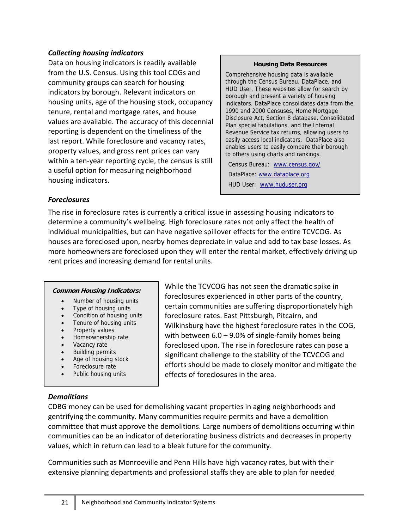#### *Collecting housing indicators*

Data on housing indicators is readily available from the U.S. Census. Using this tool COGs and community groups can search for housing indicators by borough. Relevant indicators on housing units, age of the housing stock, occupancy tenure, rental and mortgage rates, and house values are available. The accuracy of this decennial reporting is dependent on the timeliness of the last report. While foreclosure and vacancy rates, property values, and gross rent prices can vary within a ten-year reporting cycle, the census is still a useful option for measuring neighborhood housing indicators.

#### **Housing Data Resources**

Comprehensive housing data is available through the Census Bureau, DataPlace, and HUD User. These websites allow for search by borough and present a variety of housing indicators. DataPlace consolidates data from the 1990 and 2000 Censuses, Home Mortgage Disclosure Act, Section 8 database, Consolidated Plan special tabulations, and the Internal Revenue Service tax returns, allowing users to easily access local indicators. DataPlace also enables users to easily compare their borough to others using charts and rankings.

Census Bureau: www.census.gov/ DataPlace: www.dataplace.org HUD User: www.huduser.org

#### *Foreclosures*

The rise in foreclosure rates is currently a critical issue in assessing housing indicators to determine a community's wellbeing. High foreclosure rates not only affect the health of individual municipalities, but can have negative spillover effects for the entire TCVCOG. As houses are foreclosed upon, nearby homes depreciate in value and add to tax base losses. As more homeowners are foreclosed upon they will enter the rental market, effectively driving up rent prices and increasing demand for rental units.

#### **Common Housing Indicators:**

- Number of housing units
- Type of housing units
- Condition of housing units
- Tenure of housing units
- Property values
- Homeownership rate
- Vacancy rate
- Building permits
- Age of housing stock
- Foreclosure rate
- Public housing units

While the TCVCOG has not seen the dramatic spike in foreclosures experienced in other parts of the country, certain communities are suffering disproportionately high foreclosure rates. East Pittsburgh, Pitcairn, and Wilkinsburg have the highest foreclosure rates in the COG, with between  $6.0 - 9.0\%$  of single-family homes being foreclosed upon. The rise in foreclosure rates can pose a significant challenge to the stability of the TCVCOG and efforts should be made to closely monitor and mitigate the effects of foreclosures in the area.

### *Demolitions*

CDBG money can be used for demolishing vacant properties in aging neighborhoods and gentrifying the community. Many communities require permits and have a demolition committee that must approve the demolitions. Large numbers of demolitions occurring within communities can be an indicator of deteriorating business districts and decreases in property values, which in return can lead to a bleak future for the community.

Communities such as Monroeville and Penn Hills have high vacancy rates, but with their extensive planning departments and professional staffs they are able to plan for needed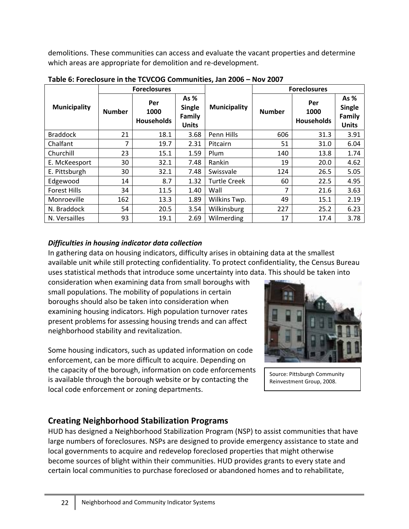demolitions. These communities can access and evaluate the vacant properties and determine which areas are appropriate for demolition and re-development.

|                     |               | <b>Foreclosures</b>              |                                                 |                     | <b>Foreclosures</b> |                                  |                                                 |
|---------------------|---------------|----------------------------------|-------------------------------------------------|---------------------|---------------------|----------------------------------|-------------------------------------------------|
| <b>Municipality</b> | <b>Number</b> | Per<br>1000<br><b>Households</b> | As %<br><b>Single</b><br>Family<br><b>Units</b> | <b>Municipality</b> | <b>Number</b>       | Per<br>1000<br><b>Households</b> | As %<br><b>Single</b><br>Family<br><b>Units</b> |
| <b>Braddock</b>     | 21            | 18.1                             | 3.68                                            | Penn Hills          | 606                 | 31.3                             | 3.91                                            |
| Chalfant            | 7             | 19.7                             | 2.31                                            | Pitcairn            | 51                  | 31.0                             | 6.04                                            |
| Churchill           | 23            | 15.1                             | 1.59                                            | Plum                | 140                 | 13.8                             | 1.74                                            |
| E. McKeesport       | 30            | 32.1                             | 7.48                                            | Rankin              | 19                  | 20.0                             | 4.62                                            |
| E. Pittsburgh       | 30            | 32.1                             | 7.48                                            | Swissvale           | 124                 | 26.5                             | 5.05                                            |
| Edgewood            | 14            | 8.7                              | 1.32                                            | <b>Turtle Creek</b> | 60                  | 22.5                             | 4.95                                            |
| <b>Forest Hills</b> | 34            | 11.5                             | 1.40                                            | Wall                | 7                   | 21.6                             | 3.63                                            |
| Monroeville         | 162           | 13.3                             | 1.89                                            | Wilkins Twp.        | 49                  | 15.1                             | 2.19                                            |
| N. Braddock         | 54            | 20.5                             | 3.54                                            | Wilkinsburg         | 227                 | 25.2                             | 6.23                                            |
| N. Versailles       | 93            | 19.1                             | 2.69                                            | Wilmerding          | 17                  | 17.4                             | 3.78                                            |

**Table 6: Foreclosure in the TCVCOG Communities, Jan 2006 – Nov 2007**

# *Difficulties in housing indicator data collection*

In gathering data on housing indicators, difficulty arises in obtaining data at the smallest available unit while still protecting confidentiality. To protect confidentiality, the Census Bureau uses statistical methods that introduce some uncertainty into data. This should be taken into

consideration when examining data from small boroughs with small populations. The mobility of populations in certain boroughs should also be taken into consideration when examining housing indicators. High population turnover rates present problems for assessing housing trends and can affect neighborhood stability and revitalization.

Some housing indicators, such as updated information on code enforcement, can be more difficult to acquire. Depending on the capacity of the borough, information on code enforcements is available through the borough website or by contacting the local code enforcement or zoning departments.



Source: Pittsburgh Community Reinvestment Group, 2008.

# **Creating Neighborhood Stabilization Programs**

HUD has designed a Neighborhood Stabilization Program (NSP) to assist communities that have large numbers of foreclosures. NSPs are designed to provide emergency assistance to state and local governments to acquire and redevelop foreclosed properties that might otherwise become sources of blight within their communities. HUD provides grants to every state and certain local communities to purchase foreclosed or abandoned homes and to rehabilitate,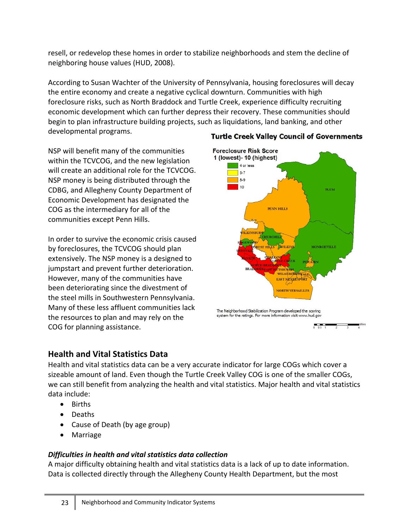resell, or redevelop these homes in order to stabilize neighborhoods and stem the decline of neighboring house values (HUD, 2008).

According to Susan Wachter of the University of Pennsylvania, housing foreclosures will decay the entire economy and create a negative cyclical downturn. Communities with high foreclosure risks, such as North Braddock and Turtle Creek, experience difficulty recruiting economic development which can further depress their recovery. These communities should begin to plan infrastructure building projects, such as liquidations, land banking, and other developmental programs.

NSP will benefit many of the communities within the TCVCOG, and the new legislation will create an additional role for the TCVCOG. NSP money is being distributed through the CDBG, and Allegheny County Department of Economic Development has designated the COG as the intermediary for all of the communities except Penn Hills.

In order to survive the economic crisis caused by foreclosures, the TCVCOG should plan extensively. The NSP money is a designed to jumpstart and prevent further deterioration. However, many of the communities have been deteriorating since the divestment of the steel mills in Southwestern Pennsylvania. Many of these less affluent communities lack the resources to plan and may rely on the COG for planning assistance.

# **Foreclosure Risk Score** 1 (lowest)- 10 (highest) 4 or less  $\overline{5}$ -7  $8-9$ 10 PLUM PENN HILLS WILMERIN EAST NEKEE'SPORT **NORTH VERSAILLES** The Neighborhood Stabilization Program developed the scoring system for the ratings. For more information visit www.hud.gov

# **Health and Vital Statistics Data**

Health and vital statistics data can be a very accurate indicator for large COGs which cover a sizeable amount of land. Even though the Turtle Creek Valley COG is one of the smaller COGs, we can still benefit from analyzing the health and vital statistics. Major health and vital statistics data include:

- Births
- Deaths
- Cause of Death (by age group)
- Marriage

# *Difficulties in health and vital statistics data collection*

A major difficulty obtaining health and vital statistics data is a lack of up to date information. Data is collected directly through the Allegheny County Health Department, but the most

# **Turtle Creek Valley Council of Governments**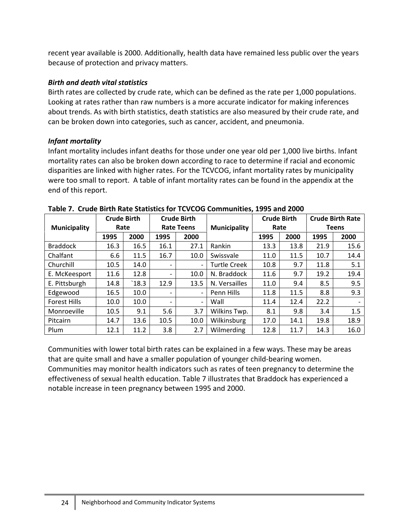recent year available is 2000. Additionally, health data have remained less public over the years because of protection and privacy matters.

### *Birth and death vital statistics*

Birth rates are collected by crude rate, which can be defined as the rate per 1,000 populations. Looking at rates rather than raw numbers is a more accurate indicator for making inferences about trends. As with birth statistics, death statistics are also measured by their crude rate, and can be broken down into categories, such as cancer, accident, and pneumonia.

# *Infant mortality*

Infant mortality includes infant deaths for those under one year old per 1,000 live births. Infant mortality rates can also be broken down according to race to determine if racial and economic disparities are linked with higher rates. For the TCVCOG, infant mortality rates by municipality were too small to report. A table of infant mortality rates can be found in the appendix at the end of this report.

|                     | <b>Crude Birth</b> |       |                              | <b>Crude Birth</b> |                     | <b>Crude Birth</b> |      |      | <b>Crude Birth Rate</b> |
|---------------------|--------------------|-------|------------------------------|--------------------|---------------------|--------------------|------|------|-------------------------|
| <b>Municipality</b> | Rate               |       |                              | <b>Rate Teens</b>  | <b>Municipality</b> | Rate               |      |      | <b>Teens</b>            |
|                     | 1995               | 2000  | 1995                         | 2000               |                     | 1995               | 2000 | 1995 | 2000                    |
| <b>Braddock</b>     | 16.3               | 16.5  | 16.1                         | 27.1               | Rankin              | 13.3               | 13.8 | 21.9 | 15.6                    |
| Chalfant            | 6.6                | 11.5  | 16.7                         | 10.0               | Swissvale           | 11.0               | 11.5 | 10.7 | 14.4                    |
| Churchill           | 10.5               | 14.0  | $\overline{\phantom{a}}$     |                    | <b>Turtle Creek</b> | 10.8               | 9.7  | 11.8 | 5.1                     |
| E. McKeesport       | 11.6               | 12.8  | $\qquad \qquad \blacksquare$ | 10.0               | N. Braddock         | 11.6               | 9.7  | 19.2 | 19.4                    |
| E. Pittsburgh       | 14.8               | `18.3 | 12.9                         | 13.5               | N. Versailles       | 11.0               | 9.4  | 8.5  | 9.5                     |
| Edgewood            | 16.5               | 10.0  | $\overline{\phantom{a}}$     |                    | Penn Hills          | 11.8               | 11.5 | 8.8  | 9.3                     |
| <b>Forest Hills</b> | 10.0               | 10.0  | $\overline{\phantom{a}}$     | $\overline{a}$     | Wall                | 11.4               | 12.4 | 22.2 |                         |
| Monroeville         | 10.5               | 9.1   | 5.6                          | 3.7                | Wilkins Twp.        | 8.1                | 9.8  | 3.4  | 1.5                     |
| Pitcairn            | 14.7               | 13.6  | 10.5                         | 10.0               | Wilkinsburg         | 17.0               | 14.1 | 19.8 | 18.9                    |
| Plum                | 12.1               | 11.2  | 3.8                          | 2.7                | Wilmerding          | 12.8               | 11.7 | 14.3 | 16.0                    |

**Table 7. Crude Birth Rate Statistics for TCVCOG Communities, 1995 and 2000**

Communities with lower total birth rates can be explained in a few ways. These may be areas that are quite small and have a smaller population of younger child‐bearing women. Communities may monitor health indicators such as rates of teen pregnancy to determine the effectiveness of sexual health education. Table 7 illustrates that Braddock has experienced a notable increase in teen pregnancy between 1995 and 2000.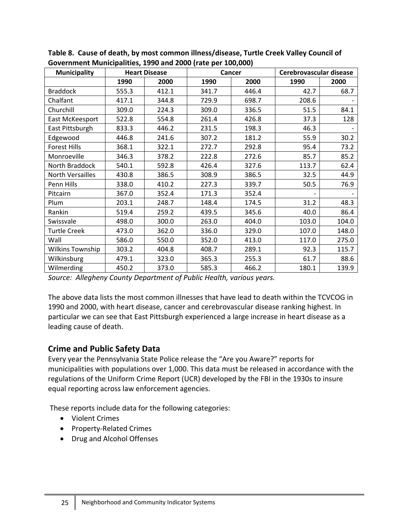| <b>Municipality</b>     |       | <b>Heart Disease</b> |       | Cancer | Cerebrovascular disease |       |
|-------------------------|-------|----------------------|-------|--------|-------------------------|-------|
|                         | 1990  | 2000                 | 1990  | 2000   | 1990                    | 2000  |
| <b>Braddock</b>         | 555.3 | 412.1                | 341.7 | 446.4  | 42.7                    | 68.7  |
| Chalfant                | 417.1 | 344.8                | 729.9 | 698.7  | 208.6                   |       |
| Churchill               | 309.0 | 224.3                | 309.0 | 336.5  | 51.5                    | 84.1  |
| East McKeesport         | 522.8 | 554.8                | 261.4 | 426.8  | 37.3                    | 128   |
| East Pittsburgh         | 833.3 | 446.2                | 231.5 | 198.3  | 46.3                    |       |
| Edgewood                | 446.8 | 241.6                | 307.2 | 181.2  | 55.9                    | 30.2  |
| <b>Forest Hills</b>     | 368.1 | 322.1                | 272.7 | 292.8  | 95.4                    | 73.2  |
| Monroeville             | 346.3 | 378.2                | 222.8 | 272.6  | 85.7                    | 85.2  |
| North Braddock          | 540.1 | 592.8                | 426.4 | 327.6  | 113.7                   | 62.4  |
| <b>North Versailles</b> | 430.8 | 386.5                | 308.9 | 386.5  | 32.5                    | 44.9  |
| Penn Hills              | 338.0 | 410.2                | 227.3 | 339.7  | 50.5                    | 76.9  |
| Pitcairn                | 367.0 | 352.4                | 171.3 | 352.4  |                         |       |
| Plum                    | 203.1 | 248.7                | 148.4 | 174.5  | 31.2                    | 48.3  |
| Rankin                  | 519.4 | 259.2                | 439.5 | 345.6  | 40.0                    | 86.4  |
| Swissvale               | 498.0 | 300.0                | 263.0 | 404.0  | 103.0                   | 104.0 |
| <b>Turtle Creek</b>     | 473.0 | 362.0                | 336.0 | 329.0  | 107.0                   | 148.0 |
| Wall                    | 586.0 | 550.0                | 352.0 | 413.0  | 117.0                   | 275.0 |
| <b>Wilkins Township</b> | 303.2 | 404.8                | 408.7 | 289.1  | 92.3                    | 115.7 |
| Wilkinsburg             | 479.1 | 323.0                | 365.3 | 255.3  | 61.7                    | 88.6  |
| Wilmerding              | 450.2 | 373.0                | 585.3 | 466.2  | 180.1                   | 139.9 |

**Table 8. Cause of death, by most common illness/disease, Turtle Creek Valley Council of Government Municipalities, 1990 and 2000 (rate per 100,000)**

*Source: Allegheny County Department of Public Health, various years.*

The above data lists the most common illnesses that have lead to death within the TCVCOG in 1990 and 2000, with heart disease, cancer and cerebrovascular disease ranking highest. In particular we can see that East Pittsburgh experienced a large increase in heart disease as a leading cause of death.

# **Crime and Public Safety Data**

Every year the Pennsylvania State Police release the "Are you Aware?" reports for municipalities with populations over 1,000. This data must be released in accordance with the regulations of the Uniform Crime Report (UCR) developed by the FBI in the 1930s to insure equal reporting across law enforcement agencies.

These reports include data for the following categories:

- Violent Crimes
- Property‐Related Crimes
- Drug and Alcohol Offenses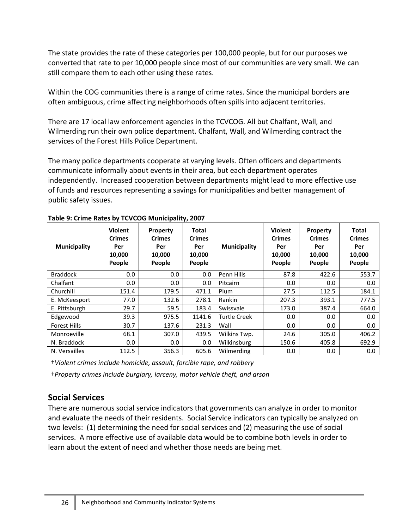The state provides the rate of these categories per 100,000 people, but for our purposes we converted that rate to per 10,000 people since most of our communities are very small. We can still compare them to each other using these rates.

Within the COG communities there is a range of crime rates. Since the municipal borders are often ambiguous, crime affecting neighborhoods often spills into adjacent territories.

There are 17 local law enforcement agencies in the TCVCOG. All but Chalfant, Wall, and Wilmerding run their own police department. Chalfant, Wall, and Wilmerding contract the services of the Forest Hills Police Department.

The many police departments cooperate at varying levels. Often officers and departments communicate informally about events in their area, but each department operates independently. Increased cooperation between departments might lead to more effective use of funds and resources representing a savings for municipalities and better management of public safety issues.

| <b>Municipality</b> | <b>Violent</b><br><b>Crimes</b><br>Per<br>10,000<br>People | <b>Property</b><br><b>Crimes</b><br>Per<br>10,000<br>People | Total<br><b>Crimes</b><br>Per<br>10,000<br>People | <b>Municipality</b> | <b>Violent</b><br><b>Crimes</b><br>Per<br>10,000<br>People | Property<br><b>Crimes</b><br>Per<br>10,000<br>People | Total<br><b>Crimes</b><br>Per<br>10,000<br>People |
|---------------------|------------------------------------------------------------|-------------------------------------------------------------|---------------------------------------------------|---------------------|------------------------------------------------------------|------------------------------------------------------|---------------------------------------------------|
| <b>Braddock</b>     | 0.0                                                        | 0.0                                                         | 0.0                                               | Penn Hills          | 87.8                                                       | 422.6                                                | 553.7                                             |
| Chalfant            | 0.0                                                        | 0.0                                                         | 0.0                                               | Pitcairn            | 0.0                                                        | 0.0                                                  | 0.0                                               |
| Churchill           | 151.4                                                      | 179.5                                                       | 471.1                                             | Plum                | 27.5                                                       | 112.5                                                | 184.1                                             |
| E. McKeesport       | 77.0                                                       | 132.6                                                       | 278.1                                             | Rankin              | 207.3                                                      | 393.1                                                | 777.5                                             |
| E. Pittsburgh       | 29.7                                                       | 59.5                                                        | 183.4                                             | Swissvale           | 173.0                                                      | 387.4                                                | 664.0                                             |
| Edgewood            | 39.3                                                       | 975.5                                                       | 1141.6                                            | <b>Turtle Creek</b> | 0.0                                                        | 0.0                                                  | 0.0                                               |
| <b>Forest Hills</b> | 30.7                                                       | 137.6                                                       | 231.3                                             | Wall                | 0.0                                                        | 0.0                                                  | 0.0                                               |
| Monroeville         | 68.1                                                       | 307.0                                                       | 439.5                                             | Wilkins Twp.        | 24.6                                                       | 305.0                                                | 406.2                                             |
| N. Braddock         | 0.0                                                        | 0.0                                                         | 0.0                                               | Wilkinsburg         | 150.6                                                      | 405.8                                                | 692.9                                             |
| N. Versailles       | 112.5                                                      | 356.3                                                       | 605.6                                             | Wilmerding          | 0.0                                                        | 0.0                                                  | 0.0                                               |

#### **Table 9: Crime Rates by TCVCOG Municipality, 2007**

†*Violent crimes include homicide, assault, forcible rape, and robbery*

†*Property crimes include burglary, larceny, motor vehicle theft, and arson*

# **Social Services**

There are numerous social service indicators that governments can analyze in order to monitor and evaluate the needs of their residents. Social Service indicators can typically be analyzed on two levels: (1) determining the need for social services and (2) measuring the use of social services. A more effective use of available data would be to combine both levels in order to learn about the extent of need and whether those needs are being met.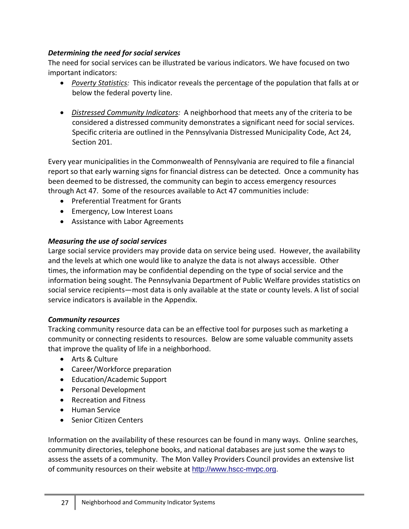### *Determining the need for social services*

The need for social services can be illustrated be various indicators. We have focused on two important indicators:

- *Poverty Statistics:* This indicator reveals the percentage of the population that falls at or below the federal poverty line.
- *Distressed Community Indicators:* A neighborhood that meets any of the criteria to be considered a distressed community demonstrates a significant need for social services. Specific criteria are outlined in the Pennsylvania Distressed Municipality Code, Act 24, Section 201.

Every year municipalities in the Commonwealth of Pennsylvania are required to file a financial report so that early warning signs for financial distress can be detected. Once a community has been deemed to be distressed, the community can begin to access emergency resources through Act 47. Some of the resources available to Act 47 communities include:

- Preferential Treatment for Grants
- Emergency, Low Interest Loans
- Assistance with Labor Agreements

### *Measuring the use of social services*

Large social service providers may provide data on service being used. However, the availability and the levels at which one would like to analyze the data is not always accessible. Other times, the information may be confidential depending on the type of social service and the information being sought. The Pennsylvania Department of Public Welfare provides statistics on social service recipients—most data is only available at the state or county levels. A list of social service indicators is available in the Appendix.

### *Community resources*

Tracking community resource data can be an effective tool for purposes such as marketing a community or connecting residents to resources. Below are some valuable community assets that improve the quality of life in a neighborhood.

- Arts & Culture
- Career/Workforce preparation
- Education/Academic Support
- Personal Development
- Recreation and Fitness
- Human Service
- Senior Citizen Centers

Information on the availability of these resources can be found in many ways. Online searches, community directories, telephone books, and national databases are just some the ways to assess the assets of a community. The Mon Valley Providers Council provides an extensive list of community resources on their website at http://www.hscc-mvpc.org.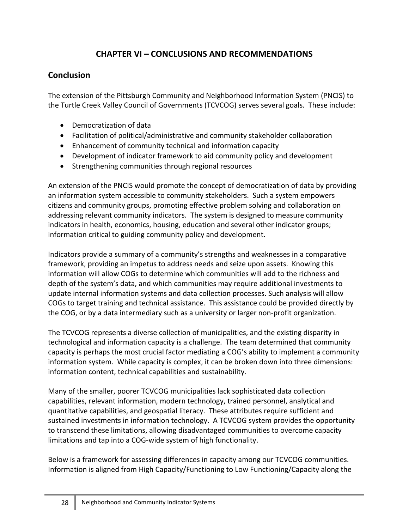# **CHAPTER VI – CONCLUSIONS AND RECOMMENDATIONS**

# **Conclusion**

The extension of the Pittsburgh Community and Neighborhood Information System (PNCIS) to the Turtle Creek Valley Council of Governments (TCVCOG) serves several goals. These include:

- Democratization of data
- Facilitation of political/administrative and community stakeholder collaboration
- Enhancement of community technical and information capacity
- Development of indicator framework to aid community policy and development
- Strengthening communities through regional resources

An extension of the PNCIS would promote the concept of democratization of data by providing an information system accessible to community stakeholders. Such a system empowers citizens and community groups, promoting effective problem solving and collaboration on addressing relevant community indicators. The system is designed to measure community indicators in health, economics, housing, education and several other indicator groups; information critical to guiding community policy and development.

Indicators provide a summary of a community's strengths and weaknesses in a comparative framework, providing an impetus to address needs and seize upon assets. Knowing this information will allow COGs to determine which communities will add to the richness and depth of the system's data, and which communities may require additional investments to update internal information systems and data collection processes. Such analysis will allow COGs to target training and technical assistance. This assistance could be provided directly by the COG, or by a data intermediary such as a university or larger non‐profit organization.

The TCVCOG represents a diverse collection of municipalities, and the existing disparity in technological and information capacity is a challenge. The team determined that community capacity is perhaps the most crucial factor mediating a COG's ability to implement a community information system. While capacity is complex, it can be broken down into three dimensions: information content, technical capabilities and sustainability.

Many of the smaller, poorer TCVCOG municipalities lack sophisticated data collection capabilities, relevant information, modern technology, trained personnel, analytical and quantitative capabilities, and geospatial literacy. These attributes require sufficient and sustained investments in information technology. A TCVCOG system provides the opportunity to transcend these limitations, allowing disadvantaged communities to overcome capacity limitations and tap into a COG‐wide system of high functionality.

Below is a framework for assessing differences in capacity among our TCVCOG communities. Information is aligned from High Capacity/Functioning to Low Functioning/Capacity along the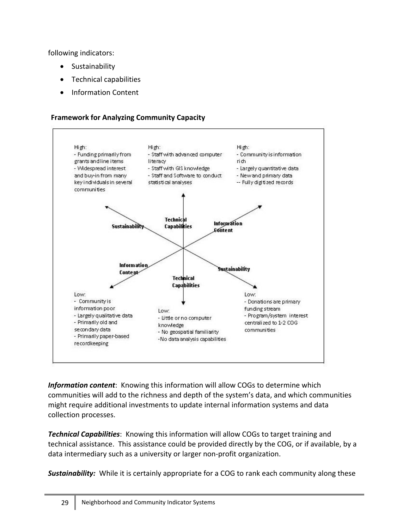following indicators:

- **Sustainability**
- Technical capabilities
- Information Content

### **Framework for Analyzing Community Capacity**



*Information content*: Knowing this information will allow COGs to determine which communities will add to the richness and depth of the system's data, and which communities might require additional investments to update internal information systems and data collection processes.

*Technical Capabilities*: Knowing this information will allow COGs to target training and technical assistance. This assistance could be provided directly by the COG, or if available, by a data intermediary such as a university or larger non‐profit organization.

**Sustainability:** While it is certainly appropriate for a COG to rank each community along these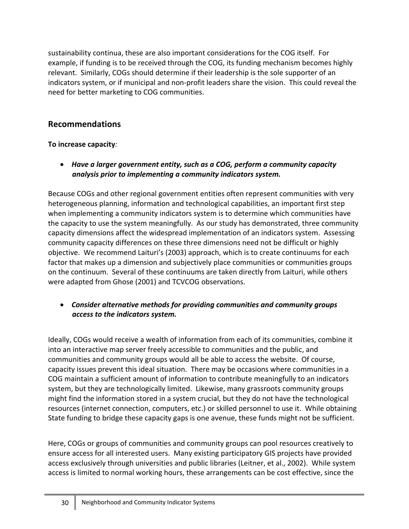sustainability continua, these are also important considerations for the COG itself. For example, if funding is to be received through the COG, its funding mechanism becomes highly relevant. Similarly, COGs should determine if their leadership is the sole supporter of an indicators system, or if municipal and non‐profit leaders share the vision. This could reveal the need for better marketing to COG communities.

# **Recommendations**

# **To increase capacity***:*

• *Have a larger government entity, such as a COG, perform a community capacity analysis prior to implementing a community indicators system.*

Because COGs and other regional government entities often represent communities with very heterogeneous planning, information and technological capabilities, an important first step when implementing a community indicators system is to determine which communities have the capacity to use the system meaningfully. As our study has demonstrated, three community capacity dimensions affect the widespread implementation of an indicators system. Assessing community capacity differences on these three dimensions need not be difficult or highly objective. We recommend Laituri's (2003) approach, which is to create continuums for each factor that makes up a dimension and subjectively place communities or communities groups on the continuum. Several of these continuums are taken directly from Laituri, while others were adapted from Ghose (2001) and TCVCOG observations.

# • *Consider alternative methods for providing communities and community groups access to the indicators system.*

Ideally, COGs would receive a wealth of information from each of its communities, combine it into an interactive map server freely accessible to communities and the public, and communities and community groups would all be able to access the website. Of course, capacity issues prevent this ideal situation. There may be occasions where communities in a COG maintain a sufficient amount of information to contribute meaningfully to an indicators system, but they are technologically limited. Likewise, many grassroots community groups might find the information stored in a system crucial, but they do not have the technological resources (internet connection, computers, etc.) or skilled personnel to use it. While obtaining State funding to bridge these capacity gaps is one avenue, these funds might not be sufficient.

Here, COGs or groups of communities and community groups can pool resources creatively to ensure access for all interested users. Many existing participatory GIS projects have provided access exclusively through universities and public libraries (Leitner, et al., 2002). While system access is limited to normal working hours, these arrangements can be cost effective, since the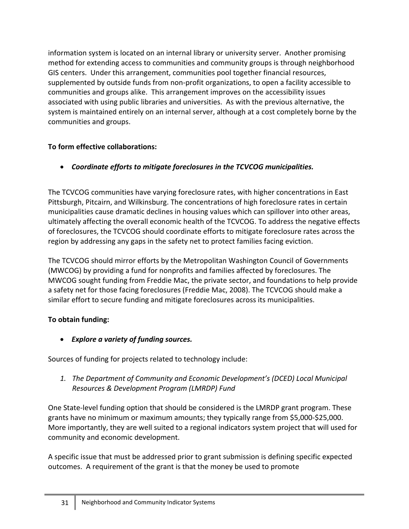information system is located on an internal library or university server. Another promising method for extending access to communities and community groups is through neighborhood GIS centers. Under this arrangement, communities pool together financial resources, supplemented by outside funds from non‐profit organizations, to open a facility accessible to communities and groups alike. This arrangement improves on the accessibility issues associated with using public libraries and universities. As with the previous alternative, the system is maintained entirely on an internal server, although at a cost completely borne by the communities and groups.

# **To form effective collaborations:**

• *Coordinate efforts to mitigate foreclosures in the TCVCOG municipalities.* 

The TCVCOG communities have varying foreclosure rates, with higher concentrations in East Pittsburgh, Pitcairn, and Wilkinsburg. The concentrations of high foreclosure rates in certain municipalities cause dramatic declines in housing values which can spillover into other areas, ultimately affecting the overall economic health of the TCVCOG. To address the negative effects of foreclosures, the TCVCOG should coordinate efforts to mitigate foreclosure rates across the region by addressing any gaps in the safety net to protect families facing eviction.

The TCVCOG should mirror efforts by the Metropolitan Washington Council of Governments (MWCOG) by providing a fund for nonprofits and families affected by foreclosures. The MWCOG sought funding from Freddie Mac, the private sector, and foundations to help provide a safety net for those facing foreclosures (Freddie Mac, 2008). The TCVCOG should make a similar effort to secure funding and mitigate foreclosures across its municipalities.

# **To obtain funding:**

• *Explore a variety of funding sources.* 

Sources of funding for projects related to technology include:

*1. The Department of Community and Economic Development's (DCED) Local Municipal Resources & Development Program (LMRDP) Fund* 

One State‐level funding option that should be considered is the LMRDP grant program. These grants have no minimum or maximum amounts; they typically range from \$5,000‐\$25,000. More importantly, they are well suited to a regional indicators system project that will used for community and economic development.

A specific issue that must be addressed prior to grant submission is defining specific expected outcomes. A requirement of the grant is that the money be used to promote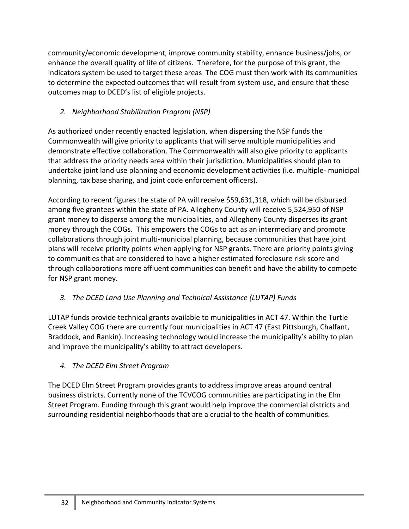community/economic development, improve community stability, enhance business/jobs, or enhance the overall quality of life of citizens. Therefore, for the purpose of this grant, the indicators system be used to target these areas The COG must then work with its communities to determine the expected outcomes that will result from system use, and ensure that these outcomes map to DCED's list of eligible projects.

# *2. Neighborhood Stabilization Program (NSP)*

As authorized under recently enacted legislation, when dispersing the NSP funds the Commonwealth will give priority to applicants that will serve multiple municipalities and demonstrate effective collaboration. The Commonwealth will also give priority to applicants that address the priority needs area within their jurisdiction. Municipalities should plan to undertake joint land use planning and economic development activities (i.e. multiple‐ municipal planning, tax base sharing, and joint code enforcement officers).

According to recent figures the state of PA will receive \$59,631,318, which will be disbursed among five grantees within the state of PA. Allegheny County will receive 5,524,950 of NSP grant money to disperse among the municipalities, and Allegheny County disperses its grant money through the COGs. This empowers the COGs to act as an intermediary and promote collaborations through joint multi‐municipal planning, because communities that have joint plans will receive priority points when applying for NSP grants. There are priority points giving to communities that are considered to have a higher estimated foreclosure risk score and through collaborations more affluent communities can benefit and have the ability to compete for NSP grant money.

# *3. The DCED Land Use Planning and Technical Assistance (LUTAP) Funds*

LUTAP funds provide technical grants available to municipalities in ACT 47. Within the Turtle Creek Valley COG there are currently four municipalities in ACT 47 (East Pittsburgh, Chalfant, Braddock, and Rankin). Increasing technology would increase the municipality's ability to plan and improve the municipality's ability to attract developers.

# *4. The DCED Elm Street Program*

The DCED Elm Street Program provides grants to address improve areas around central business districts. Currently none of the TCVCOG communities are participating in the Elm Street Program. Funding through this grant would help improve the commercial districts and surrounding residential neighborhoods that are a crucial to the health of communities.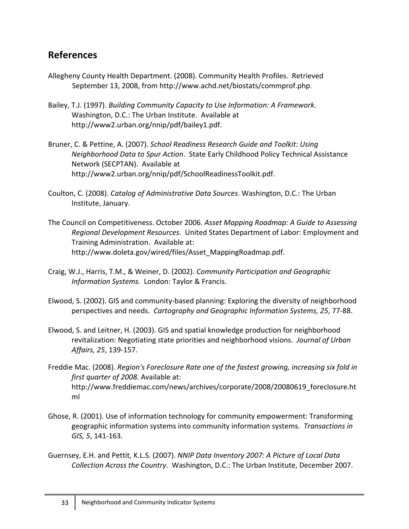# **References**

- Allegheny County Health Department. (2008). Community Health Profiles. Retrieved September 13, 2008, from http://www.achd.net/biostats/commprof.php.
- Bailey, T.J. (1997). *Building Community Capacity to Use Information: A Framework*. Washington, D.C.: The Urban Institute. Available at http://www2.urban.org/nnip/pdf/bailey1.pdf.
- Bruner, C. & Pettine, A. (2007). *School Readiness Research Guide and Toolkit: Using Neighborhood Data to Spur Action*. State Early Childhood Policy Technical Assistance Network (SECPTAN). Available at http://www2.urban.org/nnip/pdf/SchoolReadinessToolkit.pdf.
- Coulton, C. (2008). *Catalog of Administrative Data Sources*. Washington, D.C.: The Urban Institute, January.
- The Council on Competitiveness. October 2006. *Asset Mapping Roadmap: A Guide to Assessing Regional Development Resources.* United States Department of Labor: Employment and Training Administration. Available at: http://www.doleta.gov/wired/files/Asset\_MappingRoadmap.pdf.
- Craig, W.J., Harris, T.M., & Weiner, D. (2002). *Community Participation and Geographic Information Systems. London: Taylor & Francis.*
- Elwood, S. (2002). GIS and community‐based planning: Exploring the diversity of neighborhood perspectives and needs. *Cartography and Geographic Information Systems, 25*, 77‐88.
- Elwood, S. and Leitner, H. (2003). GIS and spatial knowledge production for neighborhood revitalization: Negotiating state priorities and neighborhood visions. *Journal of Urban Affairs, 25*, 139‐157.
- Freddie Mac. (2008). *Region's Foreclosure Rate one of the fastest growing, increasing six fold in first quarter of 2008.* Available at: http://www.freddiemac.com/news/archives/corporate/2008/20080619\_foreclosure.ht ml
- Ghose, R. (2001). Use of information technology for community empowerment: Transforming geographic information systems into community information systems. *Transactions in GIS, 5*, 141‐163.
- Guernsey, E.H. and Pettit, K.L.S. (2007). *NNIP Data Inventory 2007: A Picture of Local Data Collection Across the Country*. Washington, D.C.: The Urban Institute, December 2007.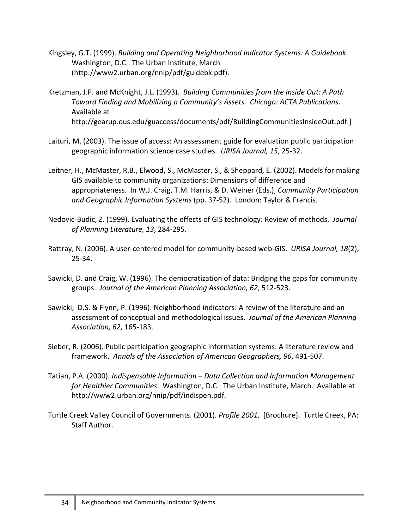- Kingsley, G.T. (1999). *Building and Operating Neighborhood Indicator Systems: A Guidebook.* Washington, D.C.: The Urban Institute, March (http://www2.urban.org/nnip/pdf/guidebk.pdf).
- Kretzman, J.P. and McKnight, J.L. (1993). *Building Communities from the Inside Out: A Path Toward Finding and Mobilizing a Community's Assets. Chicago: ACTA Publications*. Available at http://gearup.ous.edu/guaccess/documents/pdf/BuildingCommunitiesInsideOut.pdf.]
- Laituri, M. (2003). The issue of access: An assessment guide for evaluation public participation geographic information science case studies. *URISA Journal, 15*, 25‐32.
- Leitner, H., McMaster, R.B., Elwood, S., McMaster, S., & Sheppard, E. (2002). Models for making GIS available to community organizations: Dimensions of difference and appropriateness. In W.J. Craig, T.M. Harris, & D. Weiner (Eds.), *Community Participation and Geographic Information Systems* (pp. 37‐52). London: Taylor & Francis.
- Nedovic‐Budic, Z. (1999). Evaluating the effects of GIS technology: Review of methods. *Journal of Planning Literature, 13*, 284‐295.
- Rattray, N. (2006). A user‐centered model for community‐based web‐GIS. *URISA Journal, 18*(2), 25‐34.
- Sawicki, D. and Craig, W. (1996). The democratization of data: Bridging the gaps for community groups. *Journal of the American Planning Association, 62*, 512‐523.
- Sawicki, D.S. & Flynn, P. (1996). Neighborhood indicators: A review of the literature and an assessment of conceptual and methodological issues. *Journal of the American Planning Association, 62*, 165‐183.
- Sieber, R. (2006). Public participation geographic information systems: A literature review and framework. *Annals of the Association of American Geographers, 96*, 491‐507.
- Tatian, P.A. (2000). *Indispensable Information – Data Collection and Information Management for Healthier Communities*. Washington, D.C.: The Urban Institute, March. Available at http://www2.urban.org/nnip/pdf/indispen.pdf.
- Turtle Creek Valley Council of Governments. (2001). *Profile 2001*. [Brochure]. Turtle Creek, PA: Staff Author.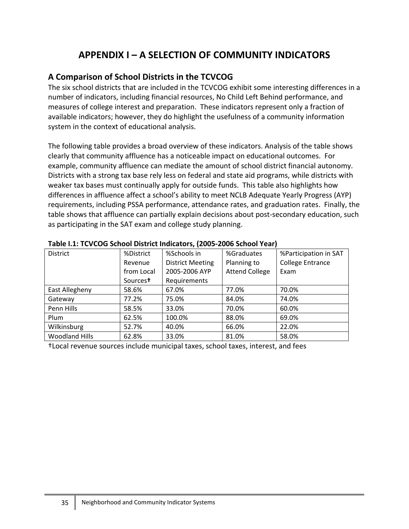# **APPENDIX I – A SELECTION OF COMMUNITY INDICATORS**

# **A Comparison of School Districts in the TCVCOG**

The six school districts that are included in the TCVCOG exhibit some interesting differences in a number of indicators, including financial resources, No Child Left Behind performance, and measures of college interest and preparation. These indicators represent only a fraction of available indicators; however, they do highlight the usefulness of a community information system in the context of educational analysis.

The following table provides a broad overview of these indicators. Analysis of the table shows clearly that community affluence has a noticeable impact on educational outcomes. For example, community affluence can mediate the amount of school district financial autonomy. Districts with a strong tax base rely less on federal and state aid programs, while districts with weaker tax bases must continually apply for outside funds. This table also highlights how differences in affluence affect a school's ability to meet NCLB Adequate Yearly Progress (AYP) requirements, including PSSA performance, attendance rates, and graduation rates. Finally, the table shows that affluence can partially explain decisions about post-secondary education, such as participating in the SAT exam and college study planning.

| <b>District</b>       | %District            | %Schools in             | %Graduates            | %Participation in SAT   |
|-----------------------|----------------------|-------------------------|-----------------------|-------------------------|
|                       | Revenue              | <b>District Meeting</b> | Planning to           | <b>College Entrance</b> |
|                       | from Local           | 2005-2006 AYP           | <b>Attend College</b> | Exam                    |
|                       | Sources <sup>†</sup> | Requirements            |                       |                         |
| East Allegheny        | 58.6%                | 67.0%                   | 77.0%                 | 70.0%                   |
| Gateway               | 77.2%                | 75.0%                   | 84.0%                 | 74.0%                   |
| Penn Hills            | 58.5%                | 33.0%                   | 70.0%                 | 60.0%                   |
| Plum                  | 62.5%                | 100.0%                  | 88.0%                 | 69.0%                   |
| Wilkinsburg           | 52.7%                | 40.0%                   | 66.0%                 | 22.0%                   |
| <b>Woodland Hills</b> | 62.8%                | 33.0%                   | 81.0%                 | 58.0%                   |

**Table I.1: TCVCOG School District Indicators, (2005‐2006 School Year)**

†Local revenue sources include municipal taxes, school taxes, interest, and fees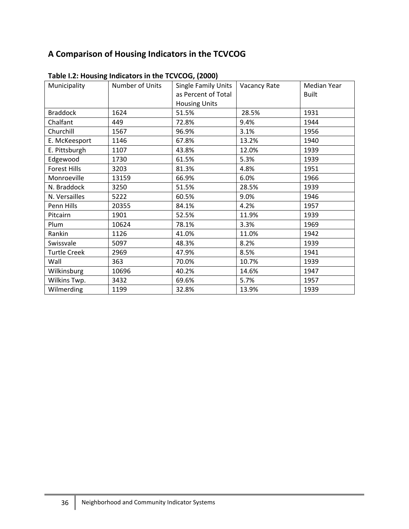# **A Comparison of Housing Indicators in the TCVCOG**

| Municipality        | Number of Units | <b>Single Family Units</b> | Vacancy Rate | Median Year  |
|---------------------|-----------------|----------------------------|--------------|--------------|
|                     |                 | as Percent of Total        |              | <b>Built</b> |
|                     |                 | <b>Housing Units</b>       |              |              |
| <b>Braddock</b>     | 1624            | 51.5%                      | 28.5%        | 1931         |
| Chalfant            | 449             | 72.8%                      | 9.4%         | 1944         |
| Churchill           | 1567            | 96.9%                      | 3.1%         | 1956         |
| E. McKeesport       | 1146            | 67.8%                      | 13.2%        | 1940         |
| E. Pittsburgh       | 1107            | 43.8%                      | 12.0%        | 1939         |
| Edgewood            | 1730            | 61.5%                      | 5.3%         | 1939         |
| <b>Forest Hills</b> | 3203            | 81.3%                      | 4.8%         | 1951         |
| Monroeville         | 13159           | 66.9%                      | 6.0%         | 1966         |
| N. Braddock         | 3250            | 51.5%                      | 28.5%        | 1939         |
| N. Versailles       | 5222            | 60.5%                      | 9.0%         | 1946         |
| Penn Hills          | 20355           | 84.1%                      | 4.2%         | 1957         |
| Pitcairn            | 1901            | 52.5%                      | 11.9%        | 1939         |
| Plum                | 10624           | 78.1%                      | 3.3%         | 1969         |
| Rankin              | 1126            | 41.0%                      | 11.0%        | 1942         |
| Swissvale           | 5097            | 48.3%                      | 8.2%         | 1939         |
| <b>Turtle Creek</b> | 2969            | 47.9%                      | 8.5%         | 1941         |
| Wall                | 363             | 70.0%                      | 10.7%        | 1939         |
| Wilkinsburg         | 10696           | 40.2%                      | 14.6%        | 1947         |
| Wilkins Twp.        | 3432            | 69.6%                      | 5.7%         | 1957         |
| Wilmerding          | 1199            | 32.8%                      | 13.9%        | 1939         |

**Table I.2: Housing Indicators in the TCVCOG, (2000)**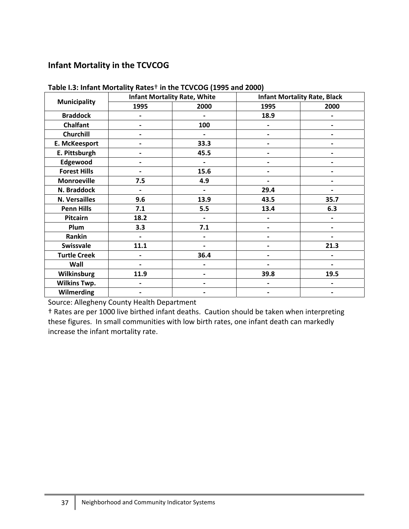# **Infant Mortality in the TCVCOG**

| <b>Municipality</b>  | <b>Infant Mortality Rate, White</b> |                          | <b>Infant Mortality Rate, Black</b> |                          |
|----------------------|-------------------------------------|--------------------------|-------------------------------------|--------------------------|
|                      | 1995                                | 2000                     | 1995                                | 2000                     |
| <b>Braddock</b>      |                                     |                          | 18.9                                |                          |
| <b>Chalfant</b>      | $\overline{\phantom{a}}$            | 100                      | $\overline{\phantom{0}}$            | $\overline{\phantom{0}}$ |
| <b>Churchill</b>     | -                                   |                          |                                     |                          |
| E. McKeesport        | -                                   | 33.3                     |                                     |                          |
| E. Pittsburgh        | $\overline{\phantom{0}}$            | 45.5                     |                                     |                          |
| Edgewood             | -                                   |                          |                                     |                          |
| <b>Forest Hills</b>  | $\overline{\phantom{0}}$            | 15.6                     |                                     |                          |
| <b>Monroeville</b>   | 7.5                                 | 4.9                      |                                     |                          |
| N. Braddock          | $\overline{\phantom{0}}$            | $\overline{\phantom{0}}$ | 29.4                                |                          |
| <b>N. Versailles</b> | 9.6                                 | 13.9                     | 43.5                                | 35.7                     |
| <b>Penn Hills</b>    | 7.1                                 | 5.5                      | 13.4                                | 6.3                      |
| Pitcairn             | 18.2                                | $\overline{\phantom{0}}$ |                                     |                          |
| Plum                 | 3.3                                 | 7.1                      |                                     |                          |
| Rankin               | $\overline{a}$                      |                          |                                     |                          |
| Swissvale            | 11.1                                | $\overline{\phantom{0}}$ | -                                   | 21.3                     |
| <b>Turtle Creek</b>  | $\overline{\phantom{0}}$            | 36.4                     |                                     |                          |
| Wall                 |                                     |                          |                                     |                          |
| Wilkinsburg          | 11.9                                | -                        | 39.8                                | 19.5                     |
| <b>Wilkins Twp.</b>  | $\overline{\phantom{0}}$            |                          |                                     |                          |
| Wilmerding           | -                                   |                          |                                     |                          |

**Table I.3: Infant Mortality Rates**† **in the TCVCOG (1995 and 2000)**

Source: Allegheny County Health Department

† Rates are per 1000 live birthed infant deaths. Caution should be taken when interpreting these figures. In small communities with low birth rates, one infant death can markedly increase the infant mortality rate.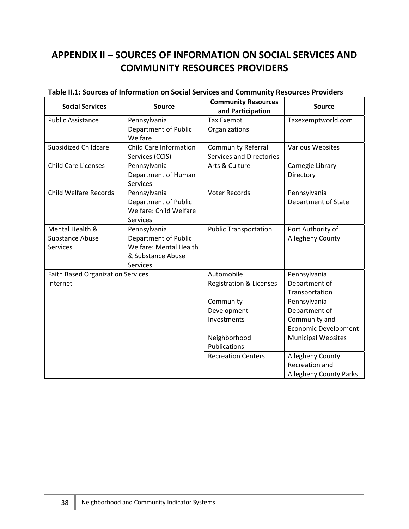# **APPENDIX II – SOURCES OF INFORMATION ON SOCIAL SERVICES AND COMMUNITY RESOURCES PROVIDERS**

| <b>Social Services</b>                   | <b>Source</b>                 | <b>Community Resources</b><br>and Participation | <b>Source</b>                 |
|------------------------------------------|-------------------------------|-------------------------------------------------|-------------------------------|
| <b>Public Assistance</b>                 | Pennsylvania                  | <b>Tax Exempt</b>                               | Taxexemptworld.com            |
|                                          | Department of Public          | Organizations                                   |                               |
|                                          | Welfare                       |                                                 |                               |
| <b>Subsidized Childcare</b>              | Child Care Information        | <b>Community Referral</b>                       | <b>Various Websites</b>       |
|                                          | Services (CCIS)               | <b>Services and Directories</b>                 |                               |
| <b>Child Care Licenses</b>               | Pennsylvania                  | Arts & Culture                                  | Carnegie Library              |
|                                          | Department of Human           |                                                 | Directory                     |
|                                          | <b>Services</b>               |                                                 |                               |
| <b>Child Welfare Records</b>             | Pennsylvania                  | <b>Voter Records</b>                            | Pennsylvania                  |
|                                          | Department of Public          |                                                 | Department of State           |
|                                          | Welfare: Child Welfare        |                                                 |                               |
|                                          | <b>Services</b>               |                                                 |                               |
| Mental Health &                          | Pennsylvania                  | <b>Public Transportation</b>                    | Port Authority of             |
| <b>Substance Abuse</b>                   | Department of Public          |                                                 | <b>Allegheny County</b>       |
| <b>Services</b>                          | <b>Welfare: Mental Health</b> |                                                 |                               |
|                                          | & Substance Abuse             |                                                 |                               |
|                                          | <b>Services</b>               |                                                 |                               |
| <b>Faith Based Organization Services</b> |                               | Automobile                                      | Pennsylvania                  |
| Internet                                 |                               | Registration & Licenses                         | Department of                 |
|                                          |                               |                                                 | Transportation                |
|                                          |                               | Community                                       | Pennsylvania                  |
|                                          |                               | Development                                     | Department of                 |
|                                          |                               | Investments                                     | Community and                 |
|                                          |                               |                                                 | <b>Economic Development</b>   |
|                                          |                               | Neighborhood                                    | <b>Municipal Websites</b>     |
|                                          |                               | Publications                                    |                               |
|                                          |                               | <b>Recreation Centers</b>                       | <b>Allegheny County</b>       |
|                                          |                               |                                                 | Recreation and                |
|                                          |                               |                                                 | <b>Allegheny County Parks</b> |

# **Table II.1: Sources of Information on Social Services and Community Resources Providers**